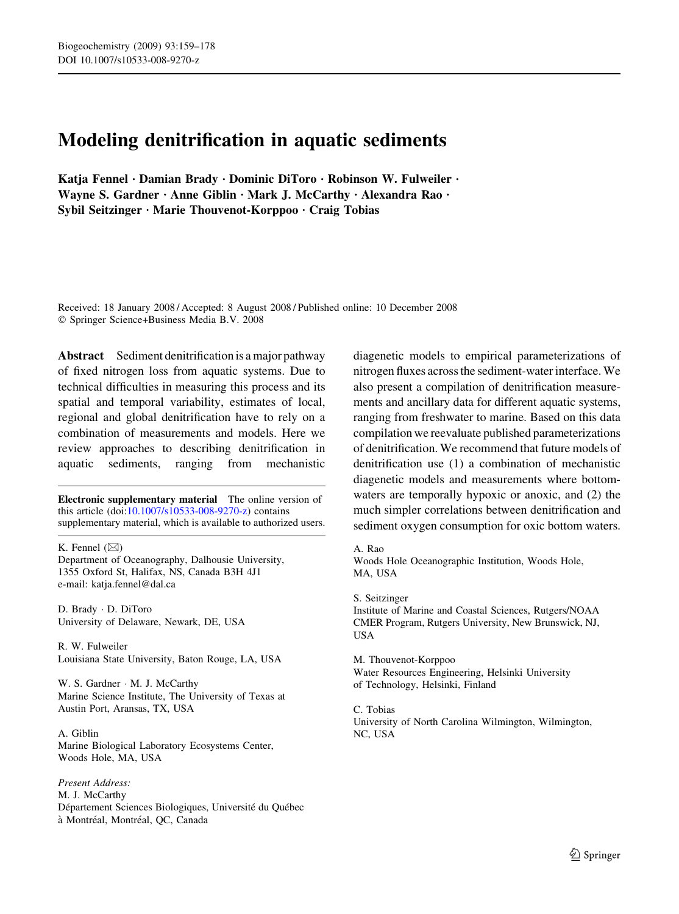# Modeling denitrification in aquatic sediments

Katja Fennel · Damian Brady · Dominic DiToro · Robinson W. Fulweiler · Wayne S. Gardner · Anne Giblin · Mark J. McCarthy · Alexandra Rao · Sybil Seitzinger • Marie Thouvenot-Korppoo • Craig Tobias

Received: 18 January 2008 / Accepted: 8 August 2008 / Published online: 10 December 2008 Springer Science+Business Media B.V. 2008

Abstract Sediment denitrification is a major pathway of fixed nitrogen loss from aquatic systems. Due to technical difficulties in measuring this process and its spatial and temporal variability, estimates of local, regional and global denitrification have to rely on a combination of measurements and models. Here we review approaches to describing denitrification in aquatic sediments, ranging from mechanistic

Electronic supplementary material The online version of this article (doi[:10.1007/s10533-008-9270-z](http://dx.doi.org/10.1007/s10533-008-9270-z)) contains supplementary material, which is available to authorized users.

K. Fennel  $(\boxtimes)$ 

Department of Oceanography, Dalhousie University, 1355 Oxford St, Halifax, NS, Canada B3H 4J1 e-mail: katja.fennel@dal.ca

D. Brady · D. DiToro University of Delaware, Newark, DE, USA

R. W. Fulweiler Louisiana State University, Baton Rouge, LA, USA

W. S. Gardner · M. J. McCarthy Marine Science Institute, The University of Texas at Austin Port, Aransas, TX, USA

A. Giblin Marine Biological Laboratory Ecosystems Center, Woods Hole, MA, USA

Present Address: M. J. McCarthy Département Sciences Biologiques, Université du Québec à Montréal, Montréal, QC, Canada

diagenetic models to empirical parameterizations of nitrogen fluxes across the sediment-water interface. We also present a compilation of denitrification measurements and ancillary data for different aquatic systems, ranging from freshwater to marine. Based on this data compilation we reevaluate published parameterizations of denitrification. We recommend that future models of denitrification use (1) a combination of mechanistic diagenetic models and measurements where bottomwaters are temporally hypoxic or anoxic, and (2) the much simpler correlations between denitrification and sediment oxygen consumption for oxic bottom waters.

A. Rao

Woods Hole Oceanographic Institution, Woods Hole, MA, USA

S. Seitzinger Institute of Marine and Coastal Sciences, Rutgers/NOAA CMER Program, Rutgers University, New Brunswick, NJ, USA

M. Thouvenot-Korppoo Water Resources Engineering, Helsinki University of Technology, Helsinki, Finland

C. Tobias University of North Carolina Wilmington, Wilmington, NC, USA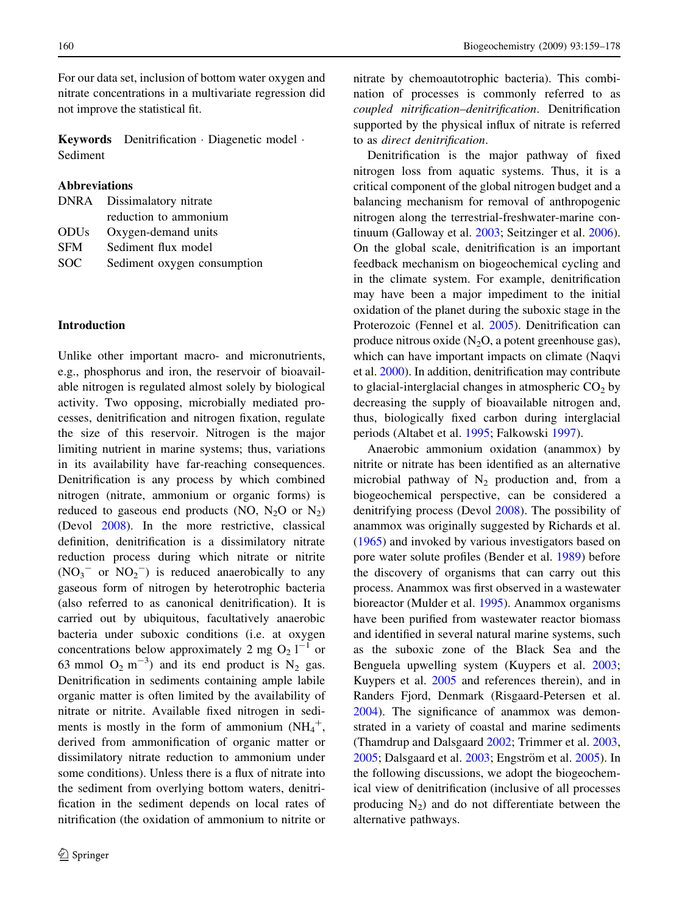For our data set, inclusion of bottom water oxygen and nitrate concentrations in a multivariate regression did not improve the statistical fit.

Keywords Denitrification Diagenetic model · Sediment

## Abbreviations

|                  | DNRA Dissimalatory nitrate  |
|------------------|-----------------------------|
|                  | reduction to ammonium       |
| <b>ODUs</b>      | Oxygen-demand units         |
| <b>SFM</b>       | Sediment flux model         |
| SOC <sup>.</sup> | Sediment oxygen consumption |
|                  |                             |

# Introduction

Unlike other important macro- and micronutrients, e.g., phosphorus and iron, the reservoir of bioavailable nitrogen is regulated almost solely by biological activity. Two opposing, microbially mediated processes, denitrification and nitrogen fixation, regulate the size of this reservoir. Nitrogen is the major limiting nutrient in marine systems; thus, variations in its availability have far-reaching consequences. Denitrification is any process by which combined nitrogen (nitrate, ammonium or organic forms) is reduced to gaseous end products (NO,  $N_2O$  or  $N_2$ ) (Devol [2008\)](#page-17-0). In the more restrictive, classical definition, denitrification is a dissimilatory nitrate reduction process during which nitrate or nitrite  $(NO<sub>3</sub><sup>-</sup> or NO<sub>2</sub><sup>-</sup>)$  is reduced anaerobically to any gaseous form of nitrogen by heterotrophic bacteria (also referred to as canonical denitrification). It is carried out by ubiquitous, facultatively anaerobic bacteria under suboxic conditions (i.e. at oxygen concentrations below approximately 2 mg  $O_2$   $1^{-1}$  or 63 mmol O<sub>2</sub> m<sup>-3</sup>) and its end product is N<sub>2</sub> gas. Denitrification in sediments containing ample labile organic matter is often limited by the availability of nitrate or nitrite. Available fixed nitrogen in sediments is mostly in the form of ammonium  $(NH_4^+,$ derived from ammonification of organic matter or dissimilatory nitrate reduction to ammonium under some conditions). Unless there is a flux of nitrate into the sediment from overlying bottom waters, denitrification in the sediment depends on local rates of nitrification (the oxidation of ammonium to nitrite or

nitrate by chemoautotrophic bacteria). This combination of processes is commonly referred to as coupled nitrification–denitrification. Denitrification supported by the physical influx of nitrate is referred to as direct denitrification.

Denitrification is the major pathway of fixed nitrogen loss from aquatic systems. Thus, it is a critical component of the global nitrogen budget and a balancing mechanism for removal of anthropogenic nitrogen along the terrestrial-freshwater-marine continuum (Galloway et al. [2003](#page-18-0); Seitzinger et al. [2006](#page-19-0)). On the global scale, denitrification is an important feedback mechanism on biogeochemical cycling and in the climate system. For example, denitrification may have been a major impediment to the initial oxidation of the planet during the suboxic stage in the Proterozoic (Fennel et al. [2005](#page-17-0)). Denitrification can produce nitrous oxide  $(N_2O, a$  potent greenhouse gas), which can have important impacts on climate (Naqvi et al. [2000](#page-18-0)). In addition, denitrification may contribute to glacial-interglacial changes in atmospheric  $CO<sub>2</sub>$  by decreasing the supply of bioavailable nitrogen and, thus, biologically fixed carbon during interglacial periods (Altabet et al. [1995;](#page-17-0) Falkowski [1997\)](#page-17-0).

Anaerobic ammonium oxidation (anammox) by nitrite or nitrate has been identified as an alternative microbial pathway of  $N_2$  production and, from a biogeochemical perspective, can be considered a denitrifying process (Devol [2008](#page-17-0)). The possibility of anammox was originally suggested by Richards et al. [\(1965](#page-19-0)) and invoked by various investigators based on pore water solute profiles (Bender et al. [1989\)](#page-17-0) before the discovery of organisms that can carry out this process. Anammox was first observed in a wastewater bioreactor (Mulder et al. [1995\)](#page-18-0). Anammox organisms have been purified from wastewater reactor biomass and identified in several natural marine systems, such as the suboxic zone of the Black Sea and the Benguela upwelling system (Kuypers et al. [2003](#page-18-0); Kuypers et al. [2005](#page-18-0) and references therein), and in Randers Fjord, Denmark (Risgaard-Petersen et al. [2004\)](#page-19-0). The significance of anammox was demonstrated in a variety of coastal and marine sediments (Thamdrup and Dalsgaard [2002](#page-19-0); Trimmer et al. [2003,](#page-19-0) [2005;](#page-19-0) Dalsgaard et al. [2003](#page-17-0); Engström et al. [2005\)](#page-17-0). In the following discussions, we adopt the biogeochemical view of denitrification (inclusive of all processes producing  $N_2$ ) and do not differentiate between the alternative pathways.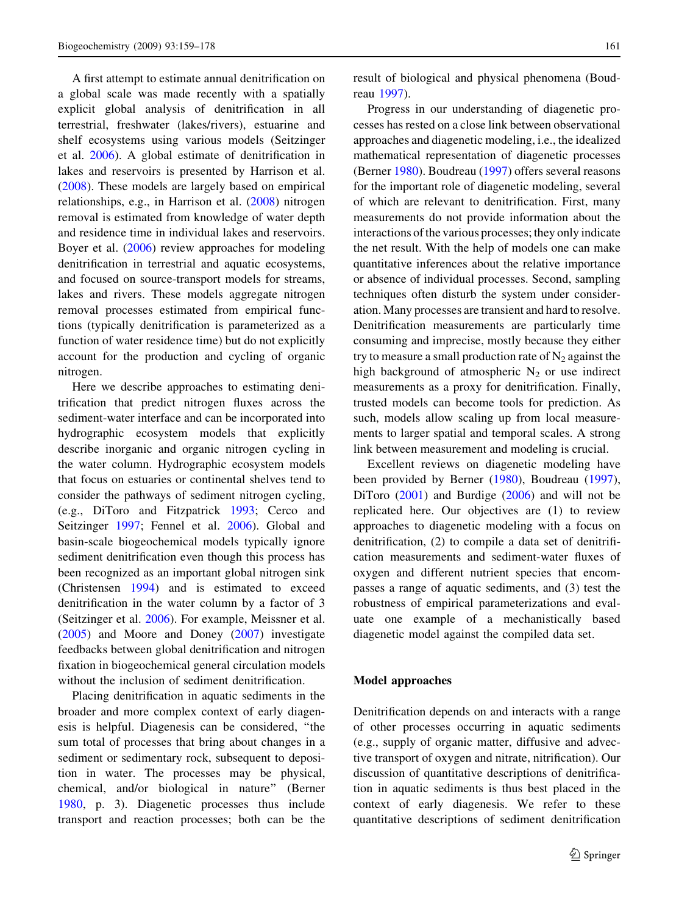A first attempt to estimate annual denitrification on a global scale was made recently with a spatially explicit global analysis of denitrification in all terrestrial, freshwater (lakes/rivers), estuarine and shelf ecosystems using various models (Seitzinger et al. [2006](#page-19-0)). A global estimate of denitrification in lakes and reservoirs is presented by Harrison et al. [\(2008](#page-18-0)). These models are largely based on empirical relationships, e.g., in Harrison et al. ([2008\)](#page-18-0) nitrogen removal is estimated from knowledge of water depth and residence time in individual lakes and reservoirs. Boyer et al. ([2006\)](#page-17-0) review approaches for modeling denitrification in terrestrial and aquatic ecosystems, and focused on source-transport models for streams, lakes and rivers. These models aggregate nitrogen removal processes estimated from empirical functions (typically denitrification is parameterized as a function of water residence time) but do not explicitly account for the production and cycling of organic nitrogen.

Here we describe approaches to estimating denitrification that predict nitrogen fluxes across the sediment-water interface and can be incorporated into hydrographic ecosystem models that explicitly describe inorganic and organic nitrogen cycling in the water column. Hydrographic ecosystem models that focus on estuaries or continental shelves tend to consider the pathways of sediment nitrogen cycling, (e.g., DiToro and Fitzpatrick [1993](#page-17-0); Cerco and Seitzinger [1997](#page-17-0); Fennel et al. [2006](#page-17-0)). Global and basin-scale biogeochemical models typically ignore sediment denitrification even though this process has been recognized as an important global nitrogen sink (Christensen [1994](#page-17-0)) and is estimated to exceed denitrification in the water column by a factor of 3 (Seitzinger et al. [2006](#page-19-0)). For example, Meissner et al. [\(2005](#page-18-0)) and Moore and Doney [\(2007](#page-18-0)) investigate feedbacks between global denitrification and nitrogen fixation in biogeochemical general circulation models without the inclusion of sediment denitrification.

Placing denitrification in aquatic sediments in the broader and more complex context of early diagenesis is helpful. Diagenesis can be considered, ''the sum total of processes that bring about changes in a sediment or sedimentary rock, subsequent to deposition in water. The processes may be physical, chemical, and/or biological in nature'' (Berner [1980,](#page-17-0) p. 3). Diagenetic processes thus include transport and reaction processes; both can be the result of biological and physical phenomena (Boudreau [1997](#page-17-0)).

Progress in our understanding of diagenetic processes has rested on a close link between observational approaches and diagenetic modeling, i.e., the idealized mathematical representation of diagenetic processes (Berner [1980](#page-17-0)). Boudreau [\(1997](#page-17-0)) offers several reasons for the important role of diagenetic modeling, several of which are relevant to denitrification. First, many measurements do not provide information about the interactions of the various processes; they only indicate the net result. With the help of models one can make quantitative inferences about the relative importance or absence of individual processes. Second, sampling techniques often disturb the system under consideration. Many processes are transient and hard to resolve. Denitrification measurements are particularly time consuming and imprecise, mostly because they either try to measure a small production rate of  $N_2$  against the high background of atmospheric  $N_2$  or use indirect measurements as a proxy for denitrification. Finally, trusted models can become tools for prediction. As such, models allow scaling up from local measurements to larger spatial and temporal scales. A strong link between measurement and modeling is crucial.

Excellent reviews on diagenetic modeling have been provided by Berner ([1980\)](#page-17-0), Boudreau ([1997](#page-17-0)), DiToro ([2001\)](#page-17-0) and Burdige ([2006\)](#page-17-0) and will not be replicated here. Our objectives are (1) to review approaches to diagenetic modeling with a focus on denitrification, (2) to compile a data set of denitrification measurements and sediment-water fluxes of oxygen and different nutrient species that encompasses a range of aquatic sediments, and (3) test the robustness of empirical parameterizations and evaluate one example of a mechanistically based diagenetic model against the compiled data set.

## Model approaches

Denitrification depends on and interacts with a range of other processes occurring in aquatic sediments (e.g., supply of organic matter, diffusive and advective transport of oxygen and nitrate, nitrification). Our discussion of quantitative descriptions of denitrification in aquatic sediments is thus best placed in the context of early diagenesis. We refer to these quantitative descriptions of sediment denitrification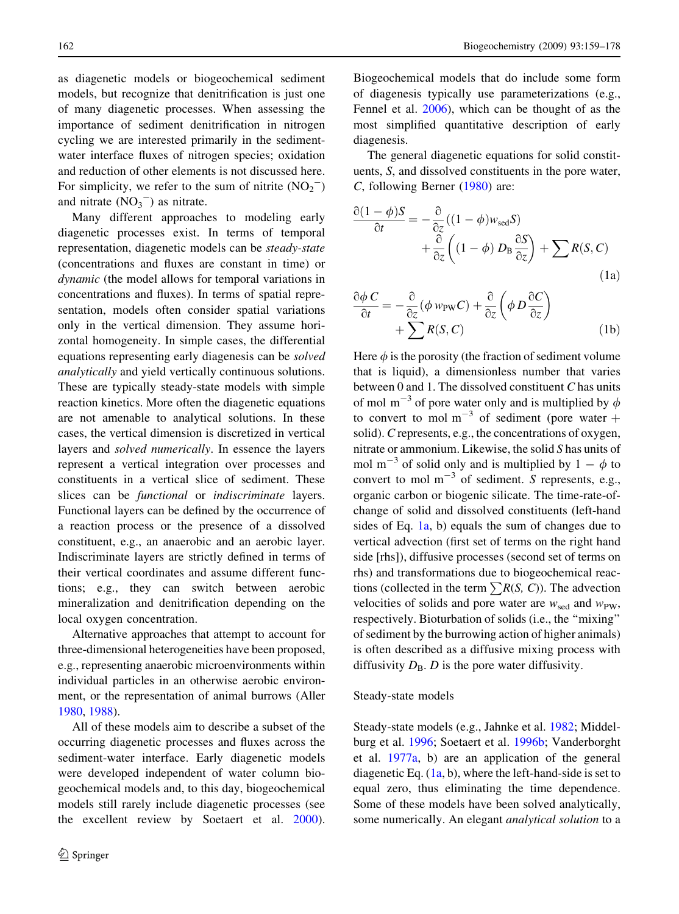<span id="page-3-0"></span>as diagenetic models or biogeochemical sediment models, but recognize that denitrification is just one of many diagenetic processes. When assessing the importance of sediment denitrification in nitrogen cycling we are interested primarily in the sedimentwater interface fluxes of nitrogen species; oxidation and reduction of other elements is not discussed here. For simplicity, we refer to the sum of nitrite  $(NO<sub>2</sub><sup>-</sup>)$ and nitrate  $(NO_3^-)$  as nitrate.

Many different approaches to modeling early diagenetic processes exist. In terms of temporal representation, diagenetic models can be steady-state (concentrations and fluxes are constant in time) or dynamic (the model allows for temporal variations in concentrations and fluxes). In terms of spatial representation, models often consider spatial variations only in the vertical dimension. They assume horizontal homogeneity. In simple cases, the differential equations representing early diagenesis can be solved analytically and yield vertically continuous solutions. These are typically steady-state models with simple reaction kinetics. More often the diagenetic equations are not amenable to analytical solutions. In these cases, the vertical dimension is discretized in vertical layers and solved numerically. In essence the layers represent a vertical integration over processes and constituents in a vertical slice of sediment. These slices can be functional or indiscriminate layers. Functional layers can be defined by the occurrence of a reaction process or the presence of a dissolved constituent, e.g., an anaerobic and an aerobic layer. Indiscriminate layers are strictly defined in terms of their vertical coordinates and assume different functions; e.g., they can switch between aerobic mineralization and denitrification depending on the local oxygen concentration.

Alternative approaches that attempt to account for three-dimensional heterogeneities have been proposed, e.g., representing anaerobic microenvironments within individual particles in an otherwise aerobic environment, or the representation of animal burrows (Aller [1980,](#page-17-0) [1988](#page-17-0)).

All of these models aim to describe a subset of the occurring diagenetic processes and fluxes across the sediment-water interface. Early diagenetic models were developed independent of water column biogeochemical models and, to this day, biogeochemical models still rarely include diagenetic processes (see the excellent review by Soetaert et al. [2000](#page-19-0)). Biogeochemical models that do include some form of diagenesis typically use parameterizations (e.g., Fennel et al. [2006\)](#page-17-0), which can be thought of as the most simplified quantitative description of early diagenesis.

The general diagenetic equations for solid constituents, S, and dissolved constituents in the pore water, C, following Berner [\(1980](#page-17-0)) are:

$$
\frac{\partial (1 - \phi)S}{\partial t} = -\frac{\partial}{\partial z}((1 - \phi)w_{\text{sed}}S) + \frac{\partial}{\partial z}\left((1 - \phi)D_{\text{B}}\frac{\partial S}{\partial z}\right) + \sum R(S, C)
$$
\n(1a)

$$
\frac{\partial \phi \ C}{\partial t} = -\frac{\partial}{\partial z} (\phi w_{\text{PW}} C) + \frac{\partial}{\partial z} (\phi D \frac{\partial C}{\partial z}) + \sum R(S, C)
$$
\n(1b)

Here  $\phi$  is the porosity (the fraction of sediment volume that is liquid), a dimensionless number that varies between 0 and 1. The dissolved constituent C has units of mol m<sup>-3</sup> of pore water only and is multiplied by  $\phi$ to convert to mol  $m^{-3}$  of sediment (pore water  $+$ solid). C represents, e.g., the concentrations of oxygen, nitrate or ammonium. Likewise, the solid S has units of mol m<sup>-3</sup> of solid only and is multiplied by  $1 - \phi$  to convert to mol  $m^{-3}$  of sediment. S represents, e.g., organic carbon or biogenic silicate. The time-rate-ofchange of solid and dissolved constituents (left-hand sides of Eq.  $1a$ , b) equals the sum of changes due to vertical advection (first set of terms on the right hand side [rhs]), diffusive processes (second set of terms on rhs) and transformations due to biogeochemical reactions (collected in the term  $\sum R(S, C)$ ). The advection velocities of solids and pore water are  $w_{\text{sed}}$  and  $w_{\text{PW}}$ , respectively. Bioturbation of solids (i.e., the ''mixing'' of sediment by the burrowing action of higher animals) is often described as a diffusive mixing process with diffusivity  $D_{\rm B}$ . D is the pore water diffusivity.

## Steady-state models

Steady-state models (e.g., Jahnke et al. [1982;](#page-18-0) Middelburg et al. [1996](#page-18-0); Soetaert et al. [1996b;](#page-19-0) Vanderborght et al. [1977a,](#page-19-0) b) are an application of the general diagenetic Eq.  $(1a, b)$ , where the left-hand-side is set to equal zero, thus eliminating the time dependence. Some of these models have been solved analytically, some numerically. An elegant analytical solution to a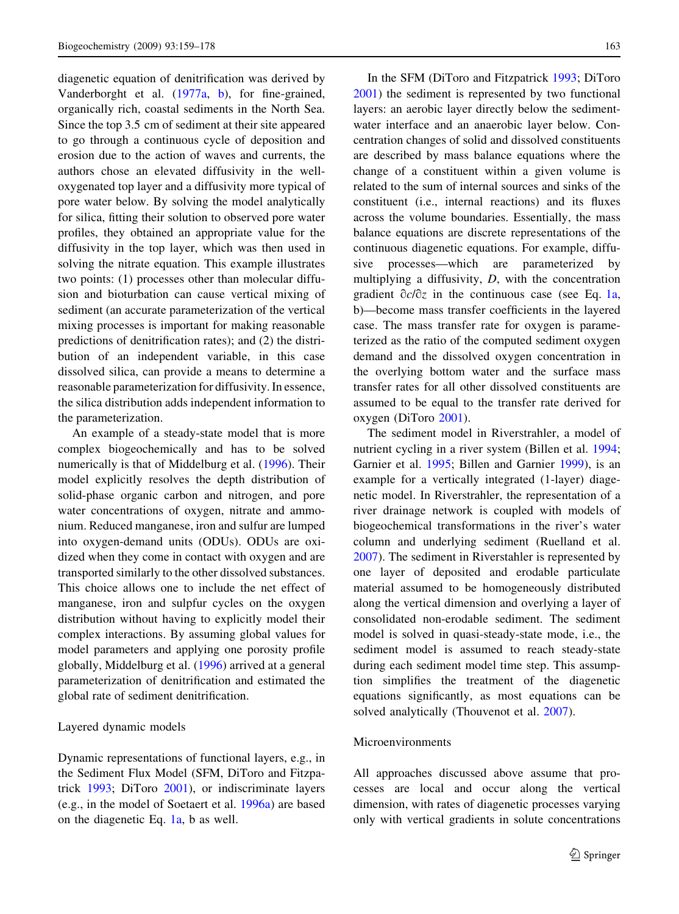diagenetic equation of denitrification was derived by Vanderborght et al. [\(1977a,](#page-19-0) [b\)](#page-19-0), for fine-grained, organically rich, coastal sediments in the North Sea. Since the top 3.5 cm of sediment at their site appeared to go through a continuous cycle of deposition and erosion due to the action of waves and currents, the authors chose an elevated diffusivity in the welloxygenated top layer and a diffusivity more typical of pore water below. By solving the model analytically for silica, fitting their solution to observed pore water profiles, they obtained an appropriate value for the diffusivity in the top layer, which was then used in solving the nitrate equation. This example illustrates two points: (1) processes other than molecular diffusion and bioturbation can cause vertical mixing of sediment (an accurate parameterization of the vertical mixing processes is important for making reasonable predictions of denitrification rates); and (2) the distribution of an independent variable, in this case dissolved silica, can provide a means to determine a reasonable parameterization for diffusivity. In essence, the silica distribution adds independent information to the parameterization.

An example of a steady-state model that is more complex biogeochemically and has to be solved numerically is that of Middelburg et al. ([1996\)](#page-18-0). Their model explicitly resolves the depth distribution of solid-phase organic carbon and nitrogen, and pore water concentrations of oxygen, nitrate and ammonium. Reduced manganese, iron and sulfur are lumped into oxygen-demand units (ODUs). ODUs are oxidized when they come in contact with oxygen and are transported similarly to the other dissolved substances. This choice allows one to include the net effect of manganese, iron and sulpfur cycles on the oxygen distribution without having to explicitly model their complex interactions. By assuming global values for model parameters and applying one porosity profile globally, Middelburg et al. [\(1996](#page-18-0)) arrived at a general parameterization of denitrification and estimated the global rate of sediment denitrification.

#### Layered dynamic models

Dynamic representations of functional layers, e.g., in the Sediment Flux Model (SFM, DiToro and Fitzpatrick [1993](#page-17-0); DiToro [2001](#page-17-0)), or indiscriminate layers (e.g., in the model of Soetaert et al. [1996a](#page-19-0)) are based on the diagenetic Eq. [1a,](#page-3-0) b as well.

In the SFM (DiToro and Fitzpatrick [1993](#page-17-0); DiToro [2001\)](#page-17-0) the sediment is represented by two functional layers: an aerobic layer directly below the sedimentwater interface and an anaerobic layer below. Concentration changes of solid and dissolved constituents are described by mass balance equations where the change of a constituent within a given volume is related to the sum of internal sources and sinks of the constituent (i.e., internal reactions) and its fluxes across the volume boundaries. Essentially, the mass balance equations are discrete representations of the continuous diagenetic equations. For example, diffusive processes—which are parameterized by multiplying a diffusivity, D, with the concentration gradient  $\partial c/\partial z$  in the continuous case (see Eq. [1a,](#page-3-0) b)—become mass transfer coefficients in the layered case. The mass transfer rate for oxygen is parameterized as the ratio of the computed sediment oxygen demand and the dissolved oxygen concentration in the overlying bottom water and the surface mass transfer rates for all other dissolved constituents are assumed to be equal to the transfer rate derived for oxygen (DiToro [2001\)](#page-17-0).

The sediment model in Riverstrahler, a model of nutrient cycling in a river system (Billen et al. [1994;](#page-17-0) Garnier et al. [1995;](#page-18-0) Billen and Garnier [1999\)](#page-17-0), is an example for a vertically integrated (1-layer) diagenetic model. In Riverstrahler, the representation of a river drainage network is coupled with models of biogeochemical transformations in the river's water column and underlying sediment (Ruelland et al. [2007\)](#page-19-0). The sediment in Riverstahler is represented by one layer of deposited and erodable particulate material assumed to be homogeneously distributed along the vertical dimension and overlying a layer of consolidated non-erodable sediment. The sediment model is solved in quasi-steady-state mode, i.e., the sediment model is assumed to reach steady-state during each sediment model time step. This assumption simplifies the treatment of the diagenetic equations significantly, as most equations can be solved analytically (Thouvenot et al. [2007](#page-19-0)).

#### Microenvironments

All approaches discussed above assume that processes are local and occur along the vertical dimension, with rates of diagenetic processes varying only with vertical gradients in solute concentrations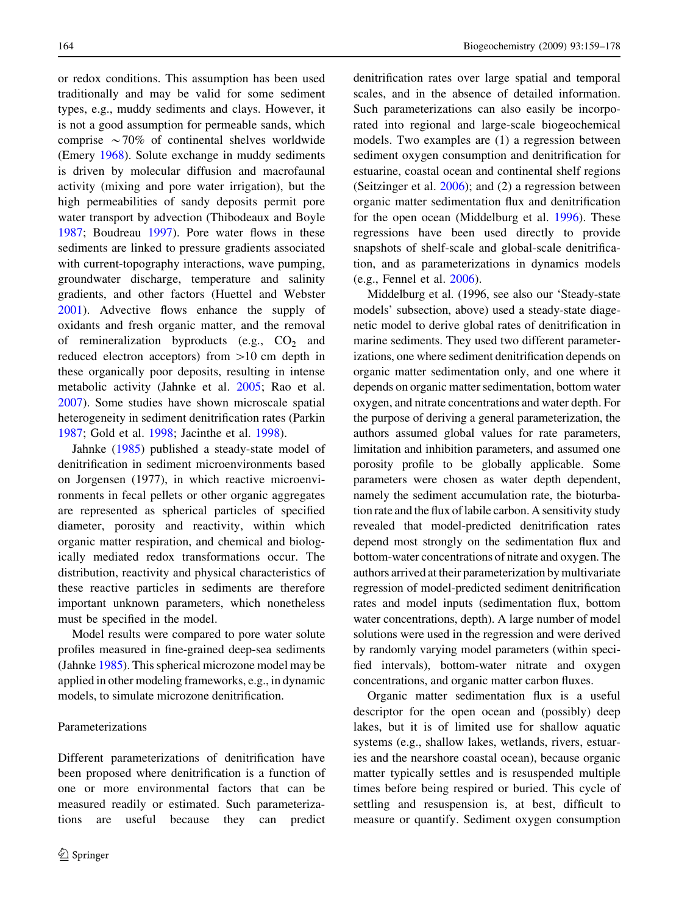or redox conditions. This assumption has been used traditionally and may be valid for some sediment types, e.g., muddy sediments and clays. However, it is not a good assumption for permeable sands, which comprise  $\sim$  70% of continental shelves worldwide (Emery [1968](#page-17-0)). Solute exchange in muddy sediments is driven by molecular diffusion and macrofaunal activity (mixing and pore water irrigation), but the high permeabilities of sandy deposits permit pore water transport by advection (Thibodeaux and Boyle [1987;](#page-19-0) Boudreau [1997](#page-17-0)). Pore water flows in these sediments are linked to pressure gradients associated with current-topography interactions, wave pumping, groundwater discharge, temperature and salinity gradients, and other factors (Huettel and Webster [2001\)](#page-18-0). Advective flows enhance the supply of oxidants and fresh organic matter, and the removal of remineralization byproducts (e.g.,  $CO<sub>2</sub>$  and reduced electron acceptors) from  $>10$  cm depth in these organically poor deposits, resulting in intense metabolic activity (Jahnke et al. [2005;](#page-18-0) Rao et al. [2007\)](#page-18-0). Some studies have shown microscale spatial heterogeneity in sediment denitrification rates (Parkin [1987;](#page-18-0) Gold et al. [1998;](#page-18-0) Jacinthe et al. [1998\)](#page-18-0).

Jahnke [\(1985](#page-18-0)) published a steady-state model of denitrification in sediment microenvironments based on Jorgensen (1977), in which reactive microenvironments in fecal pellets or other organic aggregates are represented as spherical particles of specified diameter, porosity and reactivity, within which organic matter respiration, and chemical and biologically mediated redox transformations occur. The distribution, reactivity and physical characteristics of these reactive particles in sediments are therefore important unknown parameters, which nonetheless must be specified in the model.

Model results were compared to pore water solute profiles measured in fine-grained deep-sea sediments (Jahnke [1985](#page-18-0)). This spherical microzone model may be applied in other modeling frameworks, e.g., in dynamic models, to simulate microzone denitrification.

# Parameterizations

Different parameterizations of denitrification have been proposed where denitrification is a function of one or more environmental factors that can be measured readily or estimated. Such parameterizations are useful because they can predict denitrification rates over large spatial and temporal scales, and in the absence of detailed information. Such parameterizations can also easily be incorporated into regional and large-scale biogeochemical models. Two examples are (1) a regression between sediment oxygen consumption and denitrification for estuarine, coastal ocean and continental shelf regions (Seitzinger et al. [2006\)](#page-19-0); and (2) a regression between organic matter sedimentation flux and denitrification for the open ocean (Middelburg et al. [1996\)](#page-18-0). These regressions have been used directly to provide snapshots of shelf-scale and global-scale denitrification, and as parameterizations in dynamics models (e.g., Fennel et al. [2006\)](#page-17-0).

Middelburg et al. (1996, see also our 'Steady-state models' subsection, above) used a steady-state diagenetic model to derive global rates of denitrification in marine sediments. They used two different parameterizations, one where sediment denitrification depends on organic matter sedimentation only, and one where it depends on organic matter sedimentation, bottom water oxygen, and nitrate concentrations and water depth. For the purpose of deriving a general parameterization, the authors assumed global values for rate parameters, limitation and inhibition parameters, and assumed one porosity profile to be globally applicable. Some parameters were chosen as water depth dependent, namely the sediment accumulation rate, the bioturbation rate and the flux of labile carbon. A sensitivity study revealed that model-predicted denitrification rates depend most strongly on the sedimentation flux and bottom-water concentrations of nitrate and oxygen. The authors arrived at their parameterization by multivariate regression of model-predicted sediment denitrification rates and model inputs (sedimentation flux, bottom water concentrations, depth). A large number of model solutions were used in the regression and were derived by randomly varying model parameters (within specified intervals), bottom-water nitrate and oxygen concentrations, and organic matter carbon fluxes.

Organic matter sedimentation flux is a useful descriptor for the open ocean and (possibly) deep lakes, but it is of limited use for shallow aquatic systems (e.g., shallow lakes, wetlands, rivers, estuaries and the nearshore coastal ocean), because organic matter typically settles and is resuspended multiple times before being respired or buried. This cycle of settling and resuspension is, at best, difficult to measure or quantify. Sediment oxygen consumption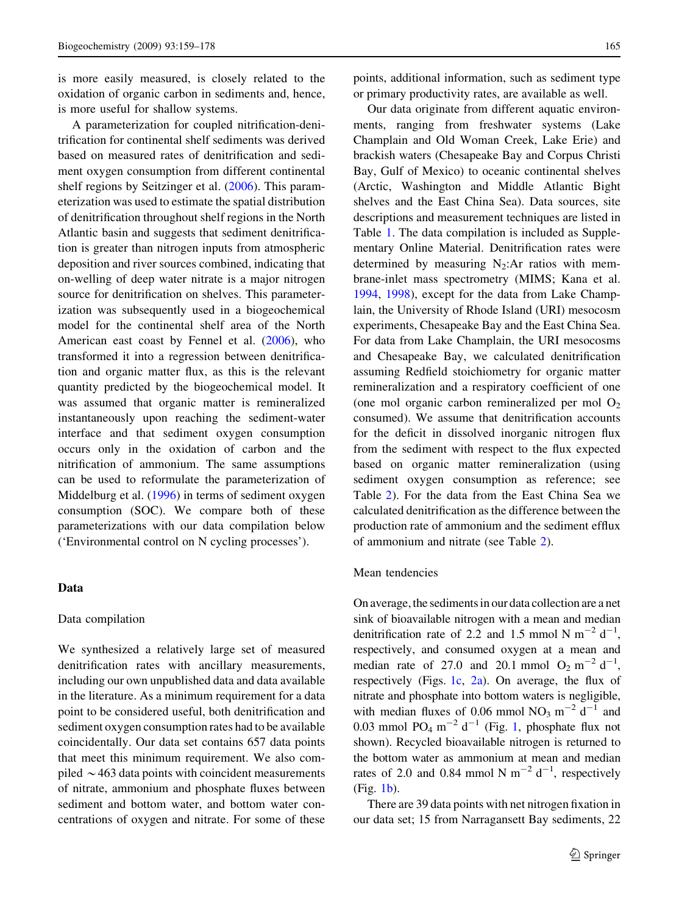is more easily measured, is closely related to the oxidation of organic carbon in sediments and, hence, is more useful for shallow systems.

A parameterization for coupled nitrification-denitrification for continental shelf sediments was derived based on measured rates of denitrification and sediment oxygen consumption from different continental shelf regions by Seitzinger et al. [\(2006](#page-19-0)). This parameterization was used to estimate the spatial distribution of denitrification throughout shelf regions in the North Atlantic basin and suggests that sediment denitrification is greater than nitrogen inputs from atmospheric deposition and river sources combined, indicating that on-welling of deep water nitrate is a major nitrogen source for denitrification on shelves. This parameterization was subsequently used in a biogeochemical model for the continental shelf area of the North American east coast by Fennel et al. [\(2006](#page-17-0)), who transformed it into a regression between denitrification and organic matter flux, as this is the relevant quantity predicted by the biogeochemical model. It was assumed that organic matter is remineralized instantaneously upon reaching the sediment-water interface and that sediment oxygen consumption occurs only in the oxidation of carbon and the nitrification of ammonium. The same assumptions can be used to reformulate the parameterization of Middelburg et al. [\(1996](#page-18-0)) in terms of sediment oxygen consumption (SOC). We compare both of these parameterizations with our data compilation below ('Environmental control on N cycling processes').

# Data

## Data compilation

We synthesized a relatively large set of measured denitrification rates with ancillary measurements, including our own unpublished data and data available in the literature. As a minimum requirement for a data point to be considered useful, both denitrification and sediment oxygen consumption rates had to be available coincidentally. Our data set contains 657 data points that meet this minimum requirement. We also compiled  $\sim$  463 data points with coincident measurements of nitrate, ammonium and phosphate fluxes between sediment and bottom water, and bottom water concentrations of oxygen and nitrate. For some of these points, additional information, such as sediment type or primary productivity rates, are available as well.

Our data originate from different aquatic environments, ranging from freshwater systems (Lake Champlain and Old Woman Creek, Lake Erie) and brackish waters (Chesapeake Bay and Corpus Christi Bay, Gulf of Mexico) to oceanic continental shelves (Arctic, Washington and Middle Atlantic Bight shelves and the East China Sea). Data sources, site descriptions and measurement techniques are listed in Table [1](#page-7-0). The data compilation is included as Supplementary Online Material. Denitrification rates were determined by measuring  $N_2$ : Ar ratios with membrane-inlet mass spectrometry (MIMS; Kana et al. [1994,](#page-18-0) [1998\)](#page-18-0), except for the data from Lake Champlain, the University of Rhode Island (URI) mesocosm experiments, Chesapeake Bay and the East China Sea. For data from Lake Champlain, the URI mesocosms and Chesapeake Bay, we calculated denitrification assuming Redfield stoichiometry for organic matter remineralization and a respiratory coefficient of one (one mol organic carbon remineralized per mol  $O<sub>2</sub>$ consumed). We assume that denitrification accounts for the deficit in dissolved inorganic nitrogen flux from the sediment with respect to the flux expected based on organic matter remineralization (using sediment oxygen consumption as reference; see Table [2](#page-8-0)). For the data from the East China Sea we calculated denitrification as the difference between the production rate of ammonium and the sediment efflux of ammonium and nitrate (see Table [2\)](#page-8-0).

#### Mean tendencies

On average, the sediments in our data collection are a net sink of bioavailable nitrogen with a mean and median denitrification rate of 2.2 and 1.5 mmol N  $m^{-2}$  d<sup>-1</sup>, respectively, and consumed oxygen at a mean and median rate of 27.0 and 20.1 mmol  $O_2 m^{-2} d^{-1}$ , respectively (Figs. [1c](#page-9-0),  $2a$ ). On average, the flux of nitrate and phosphate into bottom waters is negligible, with median fluxes of 0.06 mmol  $NO_3$  m<sup>-2</sup> d<sup>-1</sup> and 0.03 mmol  $PQ_4$  m<sup>-2</sup> d<sup>-1</sup> (Fig. [1,](#page-9-0) phosphate flux not shown). Recycled bioavailable nitrogen is returned to the bottom water as ammonium at mean and median rates of 2.0 and 0.84 mmol N  $m^{-2}$  d<sup>-1</sup>, respectively (Fig. [1b\)](#page-9-0).

There are 39 data points with net nitrogen fixation in our data set; 15 from Narragansett Bay sediments, 22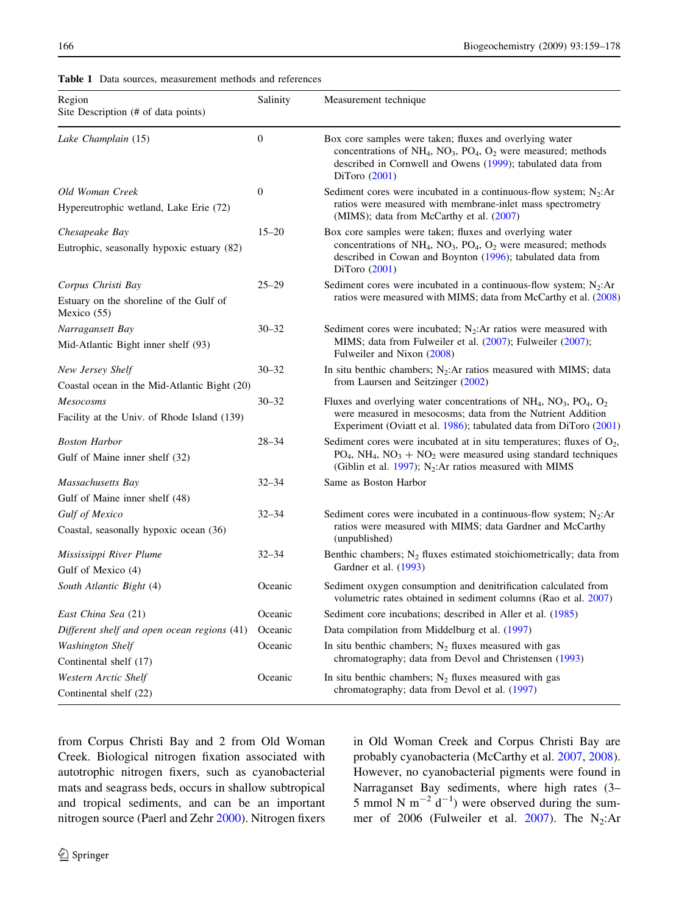| Region<br>Site Description (# of data points)                                | Salinity         | Measurement technique                                                                                                                                                                                                                          |
|------------------------------------------------------------------------------|------------------|------------------------------------------------------------------------------------------------------------------------------------------------------------------------------------------------------------------------------------------------|
| Lake Champlain (15)                                                          | $\mathbf{0}$     | Box core samples were taken; fluxes and overlying water<br>concentrations of $NH_4$ , $NO_3$ , $PO_4$ , $O_2$ were measured; methods<br>described in Cornwell and Owens (1999); tabulated data from<br>DiToro $(2001)$                         |
| Old Woman Creek<br>Hypereutrophic wetland, Lake Erie (72)                    | $\boldsymbol{0}$ | Sediment cores were incubated in a continuous-flow system; $N_2$ :Ar<br>ratios were measured with membrane-inlet mass spectrometry<br>(MIMS); data from McCarthy et al. (2007)                                                                 |
| Chesapeake Bay<br>Eutrophic, seasonally hypoxic estuary (82)                 | $15 - 20$        | Box core samples were taken; fluxes and overlying water<br>concentrations of $NH_4$ , $NO_3$ , $PO_4$ , $O_2$ were measured; methods<br>described in Cowan and Boynton (1996); tabulated data from<br>DiToro $(2001)$                          |
| Corpus Christi Bay<br>Estuary on the shoreline of the Gulf of<br>Mexico (55) | $25 - 29$        | Sediment cores were incubated in a continuous-flow system; $N_2$ :Ar<br>ratios were measured with MIMS; data from McCarthy et al. (2008)                                                                                                       |
| Narragansett Bay<br>Mid-Atlantic Bight inner shelf (93)                      | $30 - 32$        | Sediment cores were incubated; $N_2$ : Ar ratios were measured with<br>MIMS; data from Fulweiler et al. (2007); Fulweiler (2007);<br>Fulweiler and Nixon (2008)                                                                                |
| New Jersey Shelf<br>Coastal ocean in the Mid-Atlantic Bight (20)             | $30 - 32$        | In situ benthic chambers; $N_2$ : Ar ratios measured with MIMS; data<br>from Laursen and Seitzinger (2002)                                                                                                                                     |
| Mesocosms<br>Facility at the Univ. of Rhode Island (139)                     | $30 - 32$        | Fluxes and overlying water concentrations of $NH_4$ , $NO_3$ , $PO_4$ , $O_2$<br>were measured in mesocosms; data from the Nutrient Addition<br>Experiment (Oviatt et al. 1986); tabulated data from DiToro (2001)                             |
| <b>Boston Harbor</b><br>Gulf of Maine inner shelf (32)                       | $28 - 34$        | Sediment cores were incubated at in situ temperatures; fluxes of $O_2$ ,<br>$PO_4$ , NH <sub>4</sub> , NO <sub>3</sub> + NO <sub>2</sub> were measured using standard techniques<br>(Giblin et al. 1997); $N_2$ : Ar ratios measured with MIMS |
| Massachusetts Bay<br>Gulf of Maine inner shelf (48)                          | $32 - 34$        | Same as Boston Harbor                                                                                                                                                                                                                          |
| <b>Gulf of Mexico</b><br>Coastal, seasonally hypoxic ocean (36)              | $32 - 34$        | Sediment cores were incubated in a continuous-flow system; $N_2$ :Ar<br>ratios were measured with MIMS; data Gardner and McCarthy<br>(unpublished)                                                                                             |
| Mississippi River Plume<br>Gulf of Mexico (4)                                | $32 - 34$        | Benthic chambers; $N_2$ fluxes estimated stoichiometrically; data from<br>Gardner et al. (1993)                                                                                                                                                |
| South Atlantic Bight (4)                                                     | Oceanic          | Sediment oxygen consumption and denitrification calculated from<br>volumetric rates obtained in sediment columns (Rao et al. 2007)                                                                                                             |
| East China Sea (21)                                                          | Oceanic          | Sediment core incubations; described in Aller et al. (1985)                                                                                                                                                                                    |
| Different shelf and open ocean regions (41)                                  | Oceanic          | Data compilation from Middelburg et al. (1997)                                                                                                                                                                                                 |
| <b>Washington Shelf</b><br>Continental shelf (17)                            | Oceanic          | In situ benthic chambers; $N_2$ fluxes measured with gas<br>chromatography; data from Devol and Christensen (1993)                                                                                                                             |
| Western Arctic Shelf<br>Continental shelf (22)                               | Oceanic          | In situ benthic chambers; $N_2$ fluxes measured with gas<br>chromatography; data from Devol et al. (1997)                                                                                                                                      |

<span id="page-7-0"></span>Table 1 Data sources, measurement methods and references

from Corpus Christi Bay and 2 from Old Woman Creek. Biological nitrogen fixation associated with autotrophic nitrogen fixers, such as cyanobacterial mats and seagrass beds, occurs in shallow subtropical and tropical sediments, and can be an important nitrogen source (Paerl and Zehr [2000](#page-18-0)). Nitrogen fixers in Old Woman Creek and Corpus Christi Bay are probably cyanobacteria (McCarthy et al. [2007,](#page-18-0) [2008](#page-18-0)). However, no cyanobacterial pigments were found in Narraganset Bay sediments, where high rates (3– 5 mmol N m<sup>-2</sup> d<sup>-1</sup>) were observed during the summer of 2006 (Fulweiler et al.  $2007$ ). The N<sub>2</sub>:Ar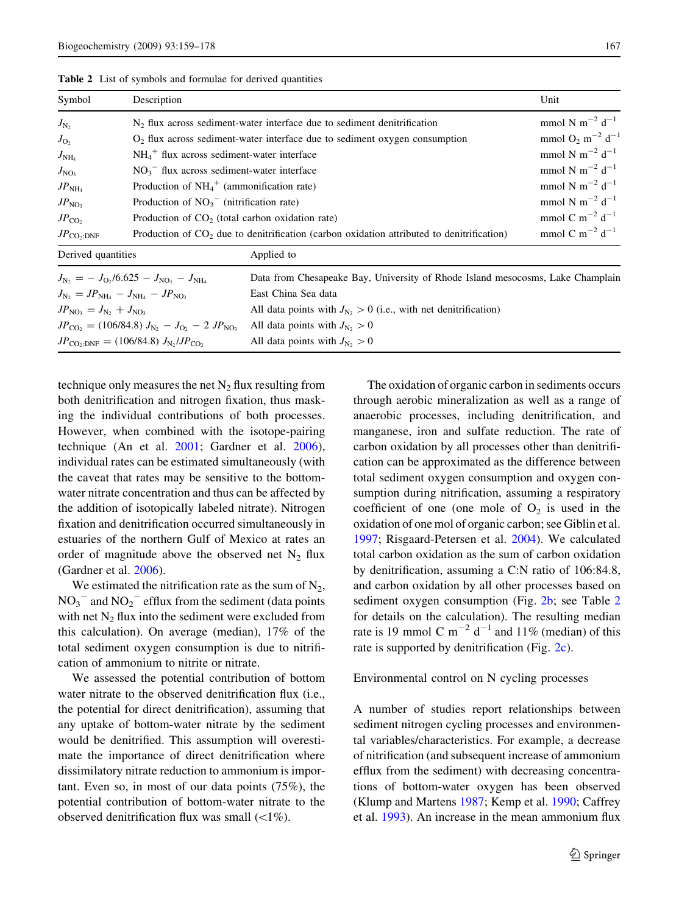| Symbol                                                                    | Description                                                                                 |                                                                                | Unit |  |
|---------------------------------------------------------------------------|---------------------------------------------------------------------------------------------|--------------------------------------------------------------------------------|------|--|
| $J_{\rm N_2}$                                                             | $N_2$ flux across sediment-water interface due to sediment denitrification                  | mmol N m <sup><math>-2</math></sup> d <sup><math>-1</math></sup>               |      |  |
| $J_{\text{O}_2}$                                                          | $O2$ flux across sediment-water interface due to sediment oxygen consumption                | mmol O <sub>2</sub> m <sup>-2</sup> d <sup>-1</sup>                            |      |  |
| $J_{\mathrm{NH}_4}$                                                       | $NH_4$ <sup>+</sup> flux across sediment-water interface                                    | mmol N m <sup><math>-2</math></sup> d <sup><math>-1</math></sup>               |      |  |
| $J_{NO3}$                                                                 | $NO3$ <sup>-</sup> flux across sediment-water interface                                     | mmol N m <sup><math>-2</math></sup> d <sup><math>-1</math></sup>               |      |  |
| $JP_{\mathrm{NH}_4}$                                                      | Production of $NH_4^+$ (ammonification rate)                                                | mmol N m <sup><math>-2</math></sup> d <sup><math>-1</math></sup>               |      |  |
| $JP_{NO_3}$                                                               | Production of $NO3-$ (nitrification rate)                                                   | mmol N m <sup><math>-2</math></sup> d <sup><math>-1</math></sup>               |      |  |
| $JP_{CO}$                                                                 |                                                                                             | Production of $CO2$ (total carbon oxidation rate)                              |      |  |
| $JP_{\mathrm{CO}_2;DNF}$                                                  | Production of $CO2$ due to denitrification (carbon oxidation attributed to denitrification) | mmol C m <sup>-2</sup> d <sup>-1</sup>                                         |      |  |
| Derived quantities                                                        |                                                                                             | Applied to                                                                     |      |  |
| $J_{\rm N_2} = -J_{\rm O_2}/6.625 - J_{\rm NO_2} - J_{\rm NH_4}$          |                                                                                             | Data from Chesapeake Bay, University of Rhode Island mesocosms, Lake Champlain |      |  |
| $J_{\rm N_2} = JP_{\rm NH_4}-J_{\rm NH_4}-JP_{\rm NO_2}$                  |                                                                                             | East China Sea data                                                            |      |  |
| $JP_{\rm NO_2} = J_{\rm N_2} + J_{\rm NO_2}$                              |                                                                                             | All data points with $J_{N_2} > 0$ (i.e., with net denitrification)            |      |  |
| $JP_{\rm CO_2} = (106/84.8) J_{\rm N_2} - J_{\rm O_2} - 2 J P_{\rm NO_2}$ |                                                                                             | All data points with $J_{N_2} > 0$                                             |      |  |
| $JP_{\text{CO-:DNF}} = (106/84.8) J_{\text{N}}/JP_{\text{CO}}$            |                                                                                             | All data points with $J_{\rm N_2} > 0$                                         |      |  |

<span id="page-8-0"></span>Table 2 List of symbols and formulae for derived quantities

technique only measures the net  $N_2$  flux resulting from both denitrification and nitrogen fixation, thus masking the individual contributions of both processes. However, when combined with the isotope-pairing technique (An et al. [2001](#page-17-0); Gardner et al. [2006](#page-18-0)), individual rates can be estimated simultaneously (with the caveat that rates may be sensitive to the bottomwater nitrate concentration and thus can be affected by the addition of isotopically labeled nitrate). Nitrogen fixation and denitrification occurred simultaneously in estuaries of the northern Gulf of Mexico at rates an order of magnitude above the observed net  $N_2$  flux (Gardner et al. [2006\)](#page-18-0).

We estimated the nitrification rate as the sum of  $N_2$ ,  $NO_3^-$  and  $NO_2^-$  efflux from the sediment (data points with net  $N_2$  flux into the sediment were excluded from this calculation). On average (median), 17% of the total sediment oxygen consumption is due to nitrification of ammonium to nitrite or nitrate.

We assessed the potential contribution of bottom water nitrate to the observed denitrification flux (i.e., the potential for direct denitrification), assuming that any uptake of bottom-water nitrate by the sediment would be denitrified. This assumption will overestimate the importance of direct denitrification where dissimilatory nitrate reduction to ammonium is important. Even so, in most of our data points (75%), the potential contribution of bottom-water nitrate to the observed denitrification flux was small  $(\langle 1\% \rangle)$ .

The oxidation of organic carbon in sediments occurs through aerobic mineralization as well as a range of anaerobic processes, including denitrification, and manganese, iron and sulfate reduction. The rate of carbon oxidation by all processes other than denitrification can be approximated as the difference between total sediment oxygen consumption and oxygen consumption during nitrification, assuming a respiratory coefficient of one (one mole of  $O_2$  is used in the oxidation of one mol of organic carbon; see Giblin et al. [1997;](#page-18-0) Risgaard-Petersen et al. [2004](#page-19-0)). We calculated total carbon oxidation as the sum of carbon oxidation by denitrification, assuming a C:N ratio of 106:84.8, and carbon oxidation by all other processes based on sediment oxygen consumption (Fig. [2b;](#page-10-0) see Table 2 for details on the calculation). The resulting median rate is 19 mmol C m<sup>-2</sup> d<sup>-1</sup> and 11% (median) of this rate is supported by denitrification (Fig. [2c\)](#page-10-0).

#### Environmental control on N cycling processes

A number of studies report relationships between sediment nitrogen cycling processes and environmental variables/characteristics. For example, a decrease of nitrification (and subsequent increase of ammonium efflux from the sediment) with decreasing concentrations of bottom-water oxygen has been observed (Klump and Martens [1987](#page-18-0); Kemp et al. [1990](#page-18-0); Caffrey et al. [1993](#page-17-0)). An increase in the mean ammonium flux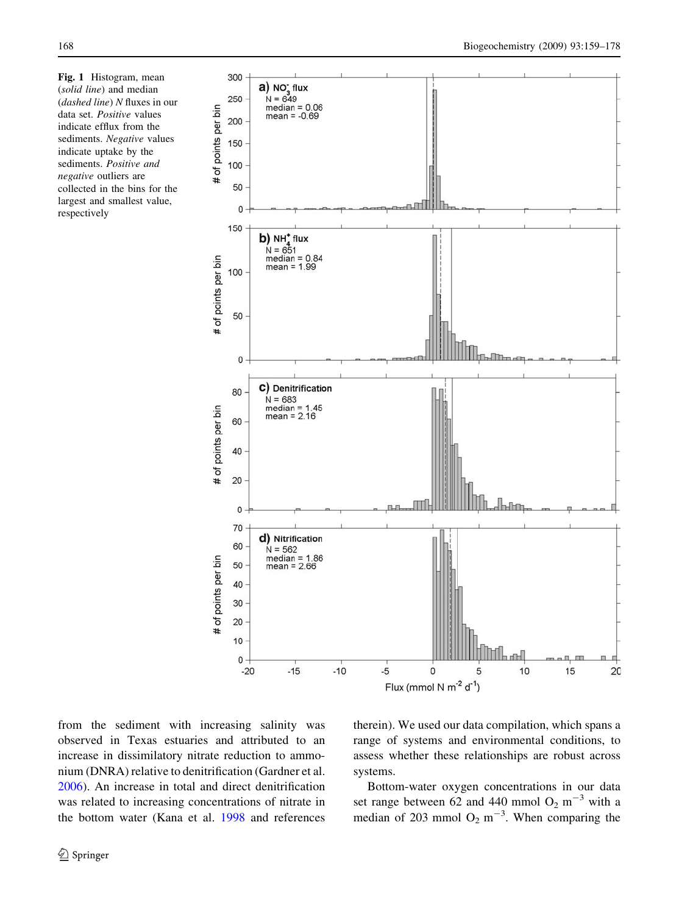<span id="page-9-0"></span>Fig. 1 Histogram, mean (solid line) and median (dashed line) N fluxes in our data set. Positive values indicate efflux from the sediments. Negative values indicate uptake by the sediments. Positive and negative outliers are collected in the bins for the largest and smallest value, respectively



from the sediment with increasing salinity was observed in Texas estuaries and attributed to an increase in dissimilatory nitrate reduction to ammonium (DNRA) relative to denitrification (Gardner et al. [2006\)](#page-18-0). An increase in total and direct denitrification was related to increasing concentrations of nitrate in the bottom water (Kana et al. [1998](#page-18-0) and references therein). We used our data compilation, which spans a range of systems and environmental conditions, to assess whether these relationships are robust across systems.

Bottom-water oxygen concentrations in our data set range between 62 and 440 mmol  $O_2$  m<sup>-3</sup> with a median of 203 mmol  $O_2$  m<sup>-3</sup>. When comparing the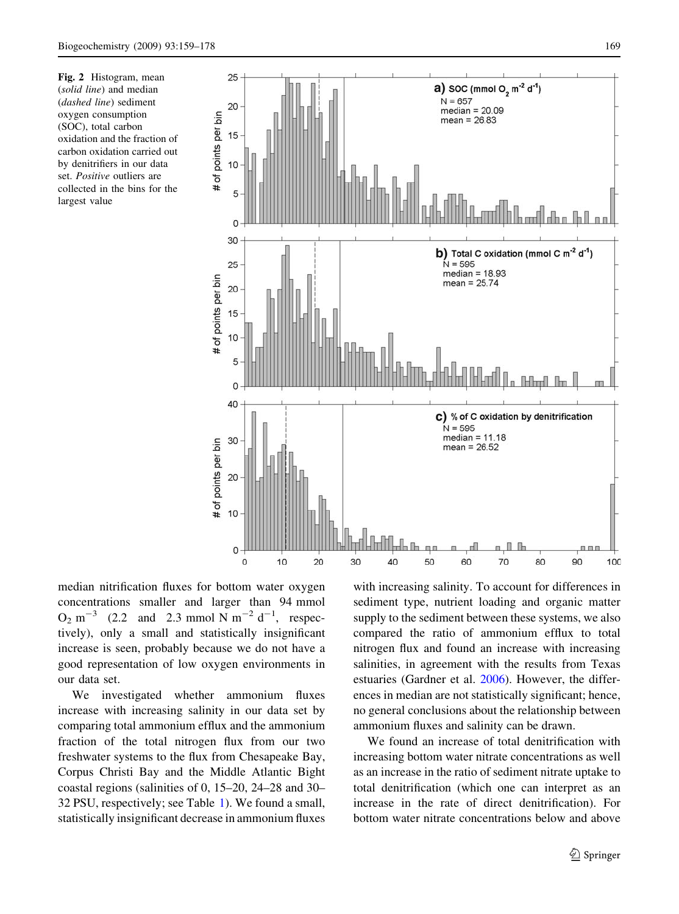<span id="page-10-0"></span>Fig. 2 Histogram, mean (solid line) and median (dashed line) sediment oxygen consumption (SOC), total carbon oxidation and the fraction of carbon oxidation carried out by denitrifiers in our data set. Positive outliers are collected in the bins for the largest value



median nitrification fluxes for bottom water oxygen concentrations smaller and larger than 94 mmol  $O_2$  m<sup>-3</sup> (2.2 and 2.3 mmol N m<sup>-2</sup> d<sup>-1</sup>, respectively), only a small and statistically insignificant increase is seen, probably because we do not have a good representation of low oxygen environments in our data set.

We investigated whether ammonium fluxes increase with increasing salinity in our data set by comparing total ammonium efflux and the ammonium fraction of the total nitrogen flux from our two freshwater systems to the flux from Chesapeake Bay, Corpus Christi Bay and the Middle Atlantic Bight coastal regions (salinities of 0, 15–20, 24–28 and 30– 32 PSU, respectively; see Table [1\)](#page-7-0). We found a small, statistically insignificant decrease in ammonium fluxes with increasing salinity. To account for differences in sediment type, nutrient loading and organic matter supply to the sediment between these systems, we also compared the ratio of ammonium efflux to total nitrogen flux and found an increase with increasing salinities, in agreement with the results from Texas estuaries (Gardner et al. [2006](#page-18-0)). However, the differences in median are not statistically significant; hence, no general conclusions about the relationship between ammonium fluxes and salinity can be drawn.

We found an increase of total denitrification with increasing bottom water nitrate concentrations as well as an increase in the ratio of sediment nitrate uptake to total denitrification (which one can interpret as an increase in the rate of direct denitrification). For bottom water nitrate concentrations below and above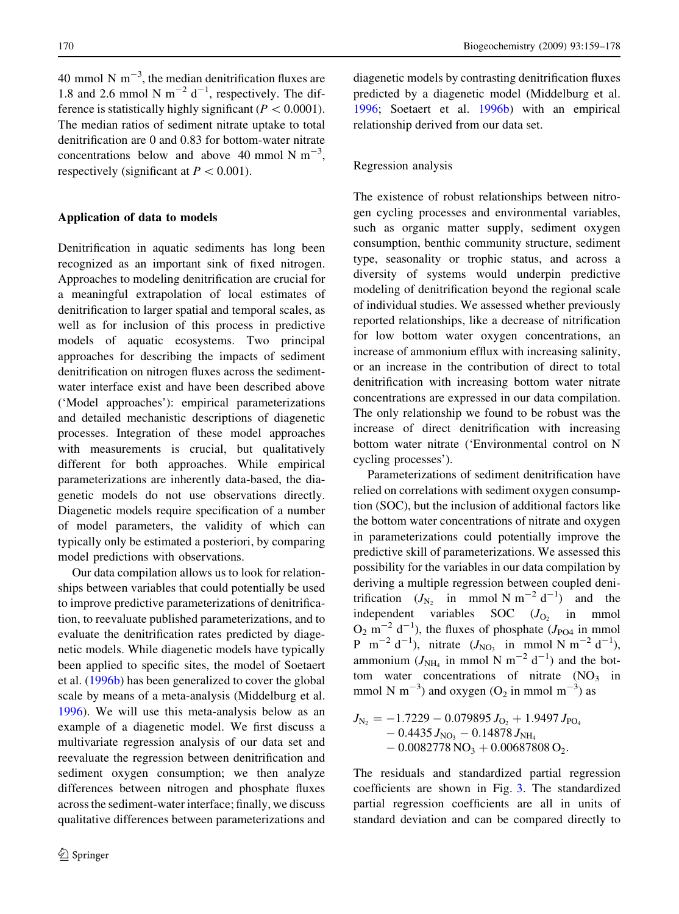40 mmol N  $m^{-3}$ , the median denitrification fluxes are 1.8 and 2.6 mmol N  $m^{-2}$  d<sup>-1</sup>, respectively. The difference is statistically highly significant ( $P < 0.0001$ ). The median ratios of sediment nitrate uptake to total denitrification are 0 and 0.83 for bottom-water nitrate concentrations below and above 40 mmol N  $m^{-3}$ , respectively (significant at  $P < 0.001$ ).

# Application of data to models

Denitrification in aquatic sediments has long been recognized as an important sink of fixed nitrogen. Approaches to modeling denitrification are crucial for a meaningful extrapolation of local estimates of denitrification to larger spatial and temporal scales, as well as for inclusion of this process in predictive models of aquatic ecosystems. Two principal approaches for describing the impacts of sediment denitrification on nitrogen fluxes across the sedimentwater interface exist and have been described above ('Model approaches'): empirical parameterizations and detailed mechanistic descriptions of diagenetic processes. Integration of these model approaches with measurements is crucial, but qualitatively different for both approaches. While empirical parameterizations are inherently data-based, the diagenetic models do not use observations directly. Diagenetic models require specification of a number of model parameters, the validity of which can typically only be estimated a posteriori, by comparing model predictions with observations.

Our data compilation allows us to look for relationships between variables that could potentially be used to improve predictive parameterizations of denitrification, to reevaluate published parameterizations, and to evaluate the denitrification rates predicted by diagenetic models. While diagenetic models have typically been applied to specific sites, the model of Soetaert et al. ([1996b\)](#page-19-0) has been generalized to cover the global scale by means of a meta-analysis (Middelburg et al. [1996\)](#page-18-0). We will use this meta-analysis below as an example of a diagenetic model. We first discuss a multivariate regression analysis of our data set and reevaluate the regression between denitrification and sediment oxygen consumption; we then analyze differences between nitrogen and phosphate fluxes across the sediment-water interface; finally, we discuss qualitative differences between parameterizations and

diagenetic models by contrasting denitrification fluxes predicted by a diagenetic model (Middelburg et al. [1996;](#page-18-0) Soetaert et al. [1996b\)](#page-19-0) with an empirical relationship derived from our data set.

## Regression analysis

The existence of robust relationships between nitrogen cycling processes and environmental variables, such as organic matter supply, sediment oxygen consumption, benthic community structure, sediment type, seasonality or trophic status, and across a diversity of systems would underpin predictive modeling of denitrification beyond the regional scale of individual studies. We assessed whether previously reported relationships, like a decrease of nitrification for low bottom water oxygen concentrations, an increase of ammonium efflux with increasing salinity, or an increase in the contribution of direct to total denitrification with increasing bottom water nitrate concentrations are expressed in our data compilation. The only relationship we found to be robust was the increase of direct denitrification with increasing bottom water nitrate ('Environmental control on N cycling processes').

Parameterizations of sediment denitrification have relied on correlations with sediment oxygen consumption (SOC), but the inclusion of additional factors like the bottom water concentrations of nitrate and oxygen in parameterizations could potentially improve the predictive skill of parameterizations. We assessed this possibility for the variables in our data compilation by deriving a multiple regression between coupled denitrification  $(J_{N_2}$  in mmol N m<sup>-2</sup> d<sup>-1</sup>) and the independent variables SOC  $(J_{O_2}$  in mmol  $O_2$  m<sup>-2</sup> d<sup>-1</sup>), the fluxes of phosphate ( $J_{PO4}$  in mmol P m<sup>-2</sup> d<sup>-1</sup>), nitrate  $(J_{NO_3}$  in mmol N m<sup>-2</sup> d<sup>-1</sup>), ammonium ( $J_{NH_4}$  in mmol N m<sup>-2</sup> d<sup>-1</sup>) and the bottom water concentrations of nitrate  $(NO<sub>3</sub>$  in mmol N m<sup>-3</sup>) and oxygen (O<sub>2</sub> in mmol m<sup>-3</sup>) as

$$
J_{\text{N}_2} = -1.7229 - 0.079895 J_{\text{O}_2} + 1.9497 J_{\text{PO}_4} - 0.4435 J_{\text{NO}_3} - 0.14878 J_{\text{NH}_4} - 0.0082778 \text{ NO}_3 + 0.00687808 \text{ O}_2.
$$

The residuals and standardized partial regression coefficients are shown in Fig. [3](#page-12-0). The standardized partial regression coefficients are all in units of standard deviation and can be compared directly to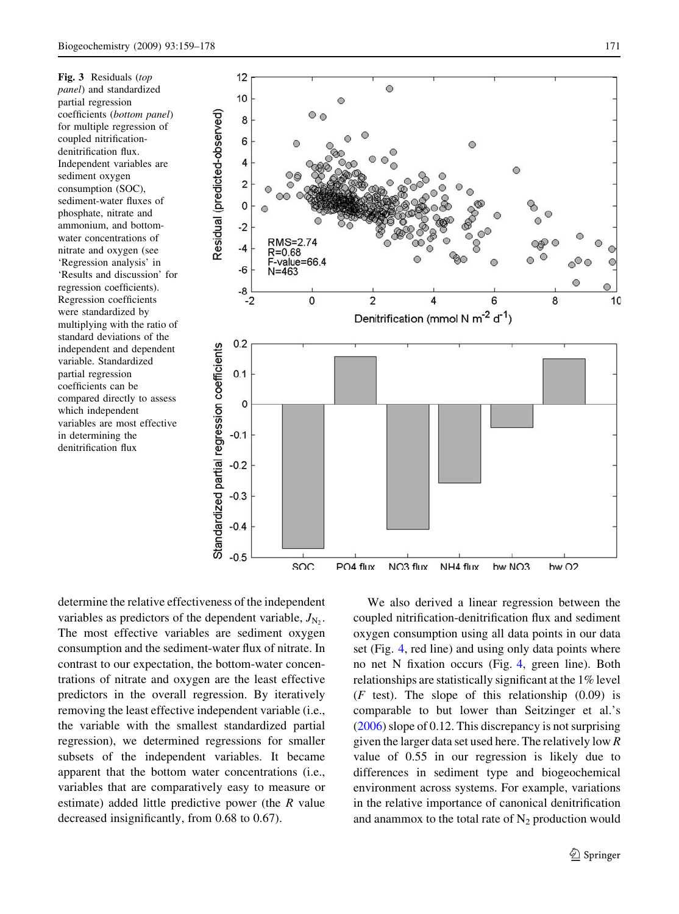<span id="page-12-0"></span>Fig. 3 Residuals (top panel) and standardized partial regression coefficients (bottom panel) for multiple regression of coupled nitrificationdenitrification flux. Independent variables are sediment oxygen consumption (SOC), sediment-water fluxes of phosphate, nitrate and ammonium, and bottomwater concentrations of nitrate and oxygen (see 'Regression analysis' in 'Results and discussion' for regression coefficients). Regression coefficients were standardized by multiplying with the ratio of standard deviations of the independent and dependent variable. Standardized partial regression coefficients can be compared directly to assess which independent variables are most effective in determining the denitrification flux



determine the relative effectiveness of the independent variables as predictors of the dependent variable,  $J_{N_2}$ . The most effective variables are sediment oxygen consumption and the sediment-water flux of nitrate. In contrast to our expectation, the bottom-water concentrations of nitrate and oxygen are the least effective predictors in the overall regression. By iteratively removing the least effective independent variable (i.e., the variable with the smallest standardized partial regression), we determined regressions for smaller subsets of the independent variables. It became apparent that the bottom water concentrations (i.e., variables that are comparatively easy to measure or estimate) added little predictive power (the R value decreased insignificantly, from 0.68 to 0.67).

We also derived a linear regression between the coupled nitrification-denitrification flux and sediment oxygen consumption using all data points in our data set (Fig. [4](#page-13-0), red line) and using only data points where no net N fixation occurs (Fig. [4](#page-13-0), green line). Both relationships are statistically significant at the 1% level  $(F$  test). The slope of this relationship  $(0.09)$  is comparable to but lower than Seitzinger et al.'s [\(2006](#page-19-0)) slope of 0.12. This discrepancy is not surprising given the larger data set used here. The relatively low R value of 0.55 in our regression is likely due to differences in sediment type and biogeochemical environment across systems. For example, variations in the relative importance of canonical denitrification and anammox to the total rate of  $N_2$  production would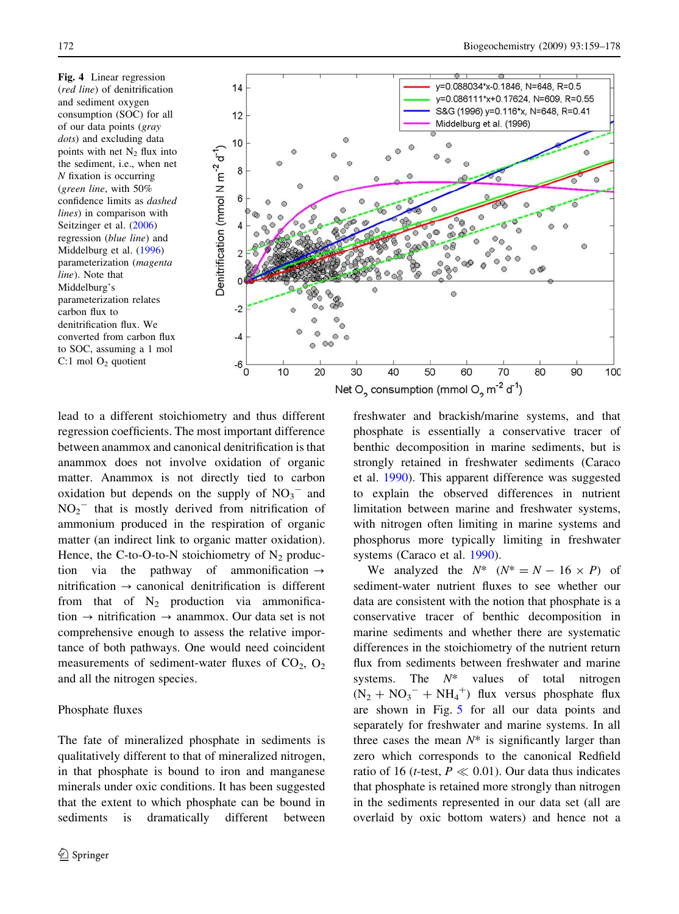<span id="page-13-0"></span>Fig. 4 Linear regression (red line) of denitrification and sediment oxygen consumption (SOC) for all of our data points (gray dots) and excluding data points with net  $N_2$  flux into the sediment, i.e., when net N fixation is occurring (green line, with 50% confidence limits as dashed lines) in comparison with Seitzinger et al. [\(2006\)](#page-19-0) regression (blue line) and Middelburg et al. ([1996\)](#page-18-0) parameterization (magenta line). Note that Middelburg's parameterization relates carbon flux to denitrification flux. We converted from carbon flux to SOC, assuming a 1 mol C:1 mol  $O_2$  quotient



lead to a different stoichiometry and thus different regression coefficients. The most important difference between anammox and canonical denitrification is that anammox does not involve oxidation of organic matter. Anammox is not directly tied to carbon oxidation but depends on the supply of  $NO<sub>3</sub><sup>-</sup>$  and  $NO<sub>2</sub><sup>-</sup>$  that is mostly derived from nitrification of ammonium produced in the respiration of organic matter (an indirect link to organic matter oxidation). Hence, the C-to-O-to-N stoichiometry of  $N_2$  production via the pathway of ammonification  $\rightarrow$ nitrification  $\rightarrow$  canonical denitrification is different from that of  $N_2$  production via ammonification  $\rightarrow$  nitrification  $\rightarrow$  anammox. Our data set is not comprehensive enough to assess the relative importance of both pathways. One would need coincident measurements of sediment-water fluxes of  $CO<sub>2</sub>$ ,  $O<sub>2</sub>$ and all the nitrogen species.

## Phosphate fluxes

The fate of mineralized phosphate in sediments is qualitatively different to that of mineralized nitrogen, in that phosphate is bound to iron and manganese minerals under oxic conditions. It has been suggested that the extent to which phosphate can be bound in sediments is dramatically different between freshwater and brackish/marine systems, and that phosphate is essentially a conservative tracer of benthic decomposition in marine sediments, but is strongly retained in freshwater sediments (Caraco et al. [1990\)](#page-17-0). This apparent difference was suggested to explain the observed differences in nutrient limitation between marine and freshwater systems, with nitrogen often limiting in marine systems and phosphorus more typically limiting in freshwater systems (Caraco et al. [1990](#page-17-0)).

We analyzed the  $N^*$   $(N^* = N - 16 \times P)$  of sediment-water nutrient fluxes to see whether our data are consistent with the notion that phosphate is a conservative tracer of benthic decomposition in marine sediments and whether there are systematic differences in the stoichiometry of the nutrient return flux from sediments between freshwater and marine systems. The  $N^*$  values of total nitrogen  $(N_2 + NO_3^- + NH_4^+)$  flux versus phosphate flux are shown in Fig. [5](#page-14-0) for all our data points and separately for freshwater and marine systems. In all three cases the mean  $N^*$  is significantly larger than zero which corresponds to the canonical Redfield ratio of 16 (*t*-test,  $P \ll 0.01$ ). Our data thus indicates that phosphate is retained more strongly than nitrogen in the sediments represented in our data set (all are overlaid by oxic bottom waters) and hence not a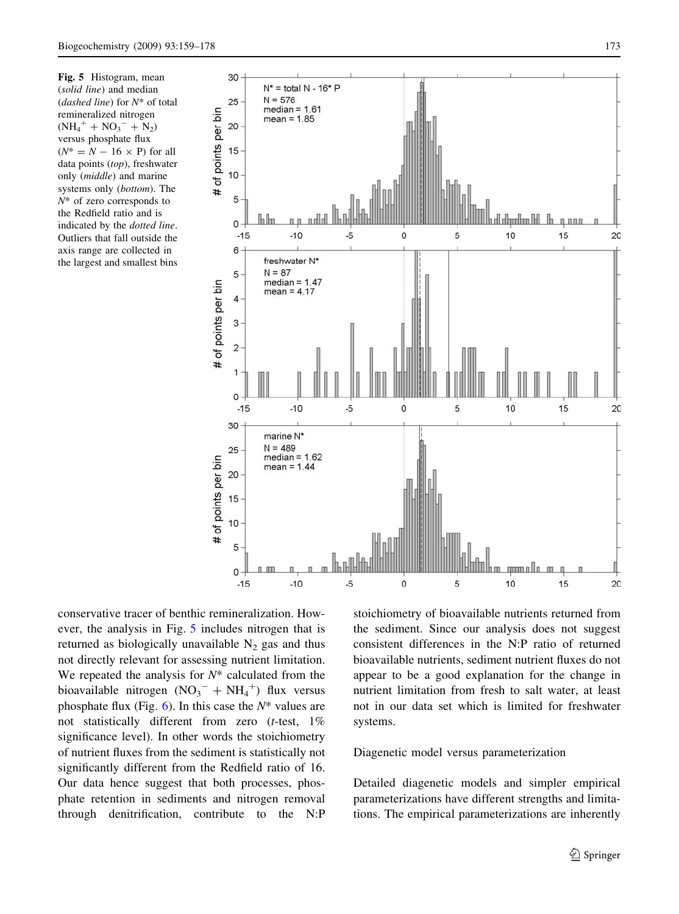<span id="page-14-0"></span>Fig. 5 Histogram, mean (solid line) and median (dashed line) for  $N^*$  of total remineralized nitrogen  $(NH_4^+ + NO_3^- + N_2)$ versus phosphate flux  $(N^* = N - 16 \times P)$  for all data points (top), freshwater only (middle) and marine systems only (bottom). The  $N^*$  of zero corresponds to the Redfield ratio and is indicated by the dotted line. Outliers that fall outside the axis range are collected in the largest and smallest bins



conservative tracer of benthic remineralization. However, the analysis in Fig. 5 includes nitrogen that is returned as biologically unavailable  $N_2$  gas and thus not directly relevant for assessing nutrient limitation. We repeated the analysis for  $N^*$  calculated from the bioavailable nitrogen  $(NO_3^- + NH_4^+)$  flux versus phosphate flux (Fig. [6\)](#page-15-0). In this case the  $N^*$  values are not statistically different from zero (t-test, 1% significance level). In other words the stoichiometry of nutrient fluxes from the sediment is statistically not significantly different from the Redfield ratio of 16. Our data hence suggest that both processes, phosphate retention in sediments and nitrogen removal through denitrification, contribute to the N:P stoichiometry of bioavailable nutrients returned from the sediment. Since our analysis does not suggest consistent differences in the N:P ratio of returned bioavailable nutrients, sediment nutrient fluxes do not appear to be a good explanation for the change in nutrient limitation from fresh to salt water, at least not in our data set which is limited for freshwater systems.

#### Diagenetic model versus parameterization

Detailed diagenetic models and simpler empirical parameterizations have different strengths and limitations. The empirical parameterizations are inherently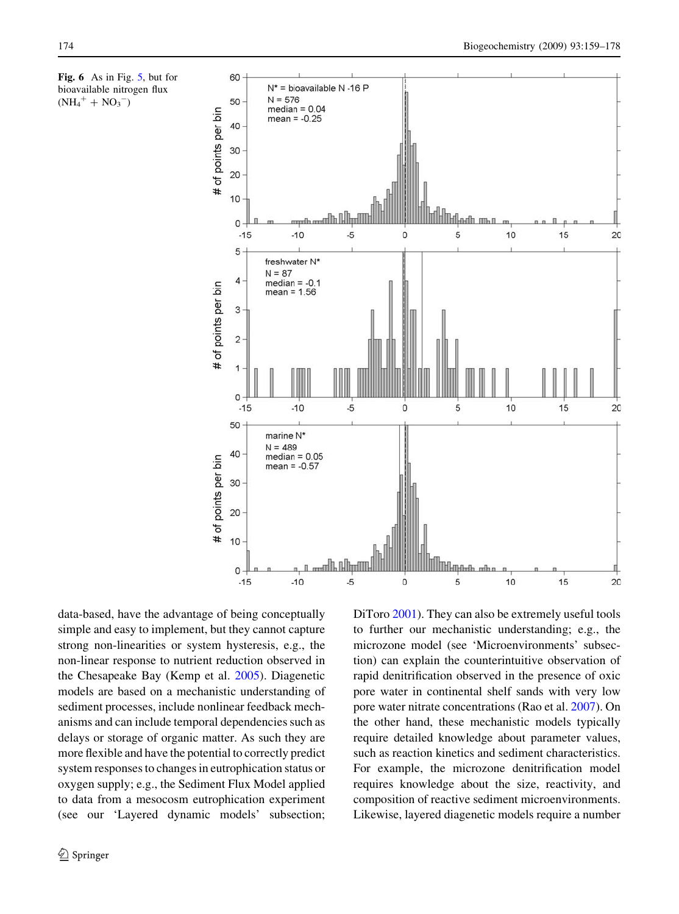<span id="page-15-0"></span>Fig. 6 As in Fig. [5](#page-14-0), but for bioavailable nitrogen flux  $(NH_4^+ + NO_3^-)$ 



data-based, have the advantage of being conceptually simple and easy to implement, but they cannot capture strong non-linearities or system hysteresis, e.g., the non-linear response to nutrient reduction observed in the Chesapeake Bay (Kemp et al. [2005](#page-18-0)). Diagenetic models are based on a mechanistic understanding of sediment processes, include nonlinear feedback mechanisms and can include temporal dependencies such as delays or storage of organic matter. As such they are more flexible and have the potential to correctly predict system responses to changes in eutrophication status or oxygen supply; e.g., the Sediment Flux Model applied to data from a mesocosm eutrophication experiment (see our 'Layered dynamic models' subsection;

DiToro [2001](#page-17-0)). They can also be extremely useful tools to further our mechanistic understanding; e.g., the microzone model (see 'Microenvironments' subsection) can explain the counterintuitive observation of rapid denitrification observed in the presence of oxic pore water in continental shelf sands with very low pore water nitrate concentrations (Rao et al. [2007](#page-18-0)). On the other hand, these mechanistic models typically require detailed knowledge about parameter values, such as reaction kinetics and sediment characteristics. For example, the microzone denitrification model requires knowledge about the size, reactivity, and composition of reactive sediment microenvironments. Likewise, layered diagenetic models require a number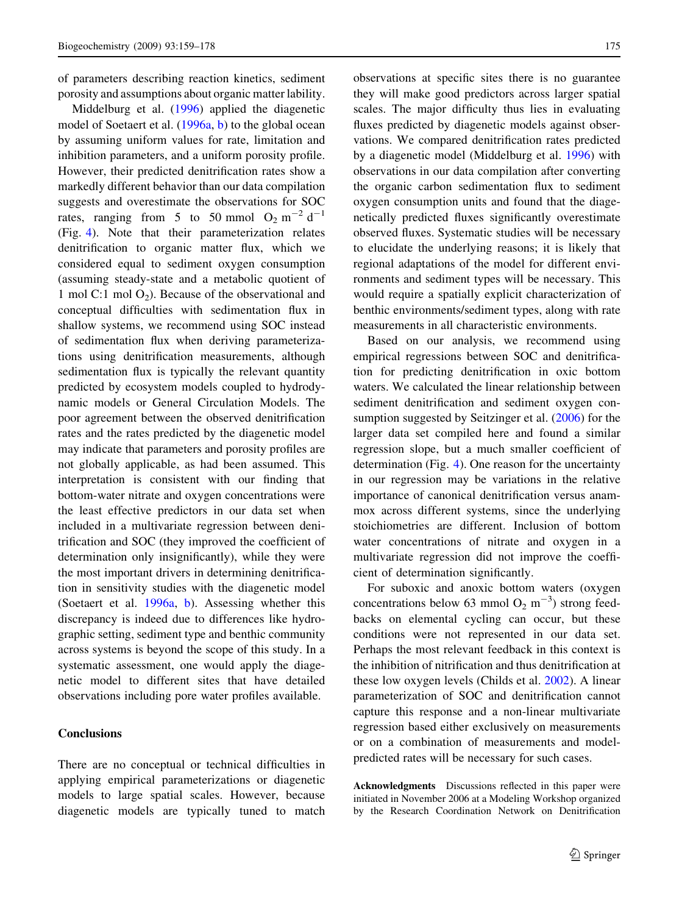of parameters describing reaction kinetics, sediment porosity and assumptions about organic matter lability.

Middelburg et al. ([1996\)](#page-18-0) applied the diagenetic model of Soetaert et al. ([1996a](#page-19-0), [b](#page-19-0)) to the global ocean by assuming uniform values for rate, limitation and inhibition parameters, and a uniform porosity profile. However, their predicted denitrification rates show a markedly different behavior than our data compilation suggests and overestimate the observations for SOC rates, ranging from 5 to 50 mmol  $O_2$  m<sup>-2</sup> d<sup>-1</sup> (Fig. [4](#page-13-0)). Note that their parameterization relates denitrification to organic matter flux, which we considered equal to sediment oxygen consumption (assuming steady-state and a metabolic quotient of 1 mol C:1 mol  $O_2$ ). Because of the observational and conceptual difficulties with sedimentation flux in shallow systems, we recommend using SOC instead of sedimentation flux when deriving parameterizations using denitrification measurements, although sedimentation flux is typically the relevant quantity predicted by ecosystem models coupled to hydrodynamic models or General Circulation Models. The poor agreement between the observed denitrification rates and the rates predicted by the diagenetic model may indicate that parameters and porosity profiles are not globally applicable, as had been assumed. This interpretation is consistent with our finding that bottom-water nitrate and oxygen concentrations were the least effective predictors in our data set when included in a multivariate regression between denitrification and SOC (they improved the coefficient of determination only insignificantly), while they were the most important drivers in determining denitrification in sensitivity studies with the diagenetic model (Soetaert et al. [1996a,](#page-19-0) [b\)](#page-19-0). Assessing whether this discrepancy is indeed due to differences like hydrographic setting, sediment type and benthic community across systems is beyond the scope of this study. In a systematic assessment, one would apply the diagenetic model to different sites that have detailed observations including pore water profiles available.

# **Conclusions**

There are no conceptual or technical difficulties in applying empirical parameterizations or diagenetic models to large spatial scales. However, because diagenetic models are typically tuned to match observations at specific sites there is no guarantee they will make good predictors across larger spatial scales. The major difficulty thus lies in evaluating fluxes predicted by diagenetic models against observations. We compared denitrification rates predicted by a diagenetic model (Middelburg et al. [1996\)](#page-18-0) with observations in our data compilation after converting the organic carbon sedimentation flux to sediment oxygen consumption units and found that the diagenetically predicted fluxes significantly overestimate observed fluxes. Systematic studies will be necessary to elucidate the underlying reasons; it is likely that regional adaptations of the model for different environments and sediment types will be necessary. This would require a spatially explicit characterization of benthic environments/sediment types, along with rate measurements in all characteristic environments.

Based on our analysis, we recommend using empirical regressions between SOC and denitrification for predicting denitrification in oxic bottom waters. We calculated the linear relationship between sediment denitrification and sediment oxygen consumption suggested by Seitzinger et al.  $(2006)$  $(2006)$  for the larger data set compiled here and found a similar regression slope, but a much smaller coefficient of determination (Fig. [4](#page-13-0)). One reason for the uncertainty in our regression may be variations in the relative importance of canonical denitrification versus anammox across different systems, since the underlying stoichiometries are different. Inclusion of bottom water concentrations of nitrate and oxygen in a multivariate regression did not improve the coefficient of determination significantly.

For suboxic and anoxic bottom waters (oxygen concentrations below 63 mmol  $O_2$  m<sup>-3</sup>) strong feedbacks on elemental cycling can occur, but these conditions were not represented in our data set. Perhaps the most relevant feedback in this context is the inhibition of nitrification and thus denitrification at these low oxygen levels (Childs et al. [2002\)](#page-17-0). A linear parameterization of SOC and denitrification cannot capture this response and a non-linear multivariate regression based either exclusively on measurements or on a combination of measurements and modelpredicted rates will be necessary for such cases.

Acknowledgments Discussions reflected in this paper were initiated in November 2006 at a Modeling Workshop organized by the Research Coordination Network on Denitrification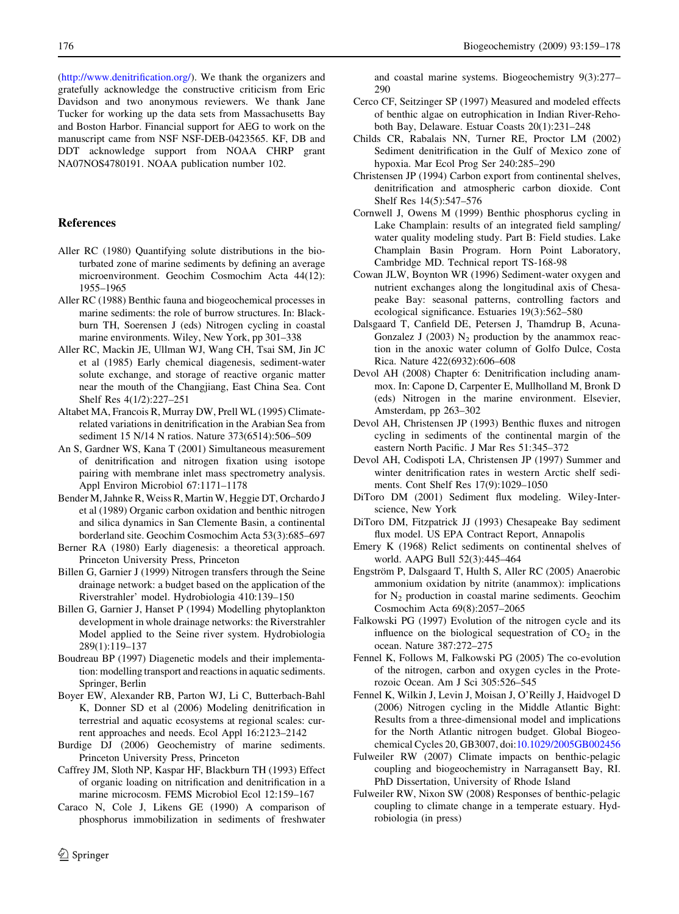<span id="page-17-0"></span>([http://www.denitrification.org/\)](http://www.denitrification.org/). We thank the organizers and gratefully acknowledge the constructive criticism from Eric Davidson and two anonymous reviewers. We thank Jane Tucker for working up the data sets from Massachusetts Bay and Boston Harbor. Financial support for AEG to work on the manuscript came from NSF NSF-DEB-0423565. KF, DB and DDT acknowledge support from NOAA CHRP grant NA07NOS4780191. NOAA publication number 102.

### References

- Aller RC (1980) Quantifying solute distributions in the bioturbated zone of marine sediments by defining an average microenvironment. Geochim Cosmochim Acta 44(12): 1955–1965
- Aller RC (1988) Benthic fauna and biogeochemical processes in marine sediments: the role of burrow structures. In: Blackburn TH, Soerensen J (eds) Nitrogen cycling in coastal marine environments. Wiley, New York, pp 301–338
- Aller RC, Mackin JE, Ullman WJ, Wang CH, Tsai SM, Jin JC et al (1985) Early chemical diagenesis, sediment-water solute exchange, and storage of reactive organic matter near the mouth of the Changjiang, East China Sea. Cont Shelf Res 4(1/2):227–251
- Altabet MA, Francois R, Murray DW, Prell WL (1995) Climaterelated variations in denitrification in the Arabian Sea from sediment 15 N/14 N ratios. Nature 373(6514):506–509
- An S, Gardner WS, Kana T (2001) Simultaneous measurement of denitrification and nitrogen fixation using isotope pairing with membrane inlet mass spectrometry analysis. Appl Environ Microbiol 67:1171–1178
- Bender M, Jahnke R, Weiss R, Martin W, Heggie DT, Orchardo J et al (1989) Organic carbon oxidation and benthic nitrogen and silica dynamics in San Clemente Basin, a continental borderland site. Geochim Cosmochim Acta 53(3):685–697
- Berner RA (1980) Early diagenesis: a theoretical approach. Princeton University Press, Princeton
- Billen G, Garnier J (1999) Nitrogen transfers through the Seine drainage network: a budget based on the application of the Riverstrahler' model. Hydrobiologia 410:139–150
- Billen G, Garnier J, Hanset P (1994) Modelling phytoplankton development in whole drainage networks: the Riverstrahler Model applied to the Seine river system. Hydrobiologia 289(1):119–137
- Boudreau BP (1997) Diagenetic models and their implementation: modelling transport and reactions in aquatic sediments. Springer, Berlin
- Boyer EW, Alexander RB, Parton WJ, Li C, Butterbach-Bahl K, Donner SD et al (2006) Modeling denitrification in terrestrial and aquatic ecosystems at regional scales: current approaches and needs. Ecol Appl 16:2123–2142
- Burdige DJ (2006) Geochemistry of marine sediments. Princeton University Press, Princeton
- Caffrey JM, Sloth NP, Kaspar HF, Blackburn TH (1993) Effect of organic loading on nitrification and denitrification in a marine microcosm. FEMS Microbiol Ecol 12:159–167
- Caraco N, Cole J, Likens GE (1990) A comparison of phosphorus immobilization in sediments of freshwater

and coastal marine systems. Biogeochemistry 9(3):277– 290

- Cerco CF, Seitzinger SP (1997) Measured and modeled effects of benthic algae on eutrophication in Indian River-Rehoboth Bay, Delaware. Estuar Coasts 20(1):231–248
- Childs CR, Rabalais NN, Turner RE, Proctor LM (2002) Sediment denitrification in the Gulf of Mexico zone of hypoxia. Mar Ecol Prog Ser 240:285–290
- Christensen JP (1994) Carbon export from continental shelves, denitrification and atmospheric carbon dioxide. Cont Shelf Res 14(5):547–576
- Cornwell J, Owens M (1999) Benthic phosphorus cycling in Lake Champlain: results of an integrated field sampling/ water quality modeling study. Part B: Field studies. Lake Champlain Basin Program. Horn Point Laboratory, Cambridge MD. Technical report TS-168-98
- Cowan JLW, Boynton WR (1996) Sediment-water oxygen and nutrient exchanges along the longitudinal axis of Chesapeake Bay: seasonal patterns, controlling factors and ecological significance. Estuaries 19(3):562–580
- Dalsgaard T, Canfield DE, Petersen J, Thamdrup B, Acuna-Gonzalez J (2003)  $N_2$  production by the anammox reaction in the anoxic water column of Golfo Dulce, Costa Rica. Nature 422(6932):606–608
- Devol AH (2008) Chapter 6: Denitrification including anammox. In: Capone D, Carpenter E, Mullholland M, Bronk D (eds) Nitrogen in the marine environment. Elsevier, Amsterdam, pp 263–302
- Devol AH, Christensen JP (1993) Benthic fluxes and nitrogen cycling in sediments of the continental margin of the eastern North Pacific. J Mar Res 51:345–372
- Devol AH, Codispoti LA, Christensen JP (1997) Summer and winter denitrification rates in western Arctic shelf sediments. Cont Shelf Res 17(9):1029–1050
- DiToro DM (2001) Sediment flux modeling. Wiley-Interscience, New York
- DiToro DM, Fitzpatrick JJ (1993) Chesapeake Bay sediment flux model. US EPA Contract Report, Annapolis
- Emery K (1968) Relict sediments on continental shelves of world. AAPG Bull 52(3):445–464
- Engström P, Dalsgaard T, Hulth S, Aller RC (2005) Anaerobic ammonium oxidation by nitrite (anammox): implications for  $N_2$  production in coastal marine sediments. Geochim Cosmochim Acta 69(8):2057–2065
- Falkowski PG (1997) Evolution of the nitrogen cycle and its influence on the biological sequestration of  $CO<sub>2</sub>$  in the ocean. Nature 387:272–275
- Fennel K, Follows M, Falkowski PG (2005) The co-evolution of the nitrogen, carbon and oxygen cycles in the Proterozoic Ocean. Am J Sci 305:526–545
- Fennel K, Wilkin J, Levin J, Moisan J, O'Reilly J, Haidvogel D (2006) Nitrogen cycling in the Middle Atlantic Bight: Results from a three-dimensional model and implications for the North Atlantic nitrogen budget. Global Biogeochemical Cycles 20, GB3007, doi[:10.1029/2005GB002456](http://dx.doi.org/10.1029/2005GB002456)
- Fulweiler RW (2007) Climate impacts on benthic-pelagic coupling and biogeochemistry in Narragansett Bay, RI. PhD Dissertation, University of Rhode Island
- Fulweiler RW, Nixon SW (2008) Responses of benthic-pelagic coupling to climate change in a temperate estuary. Hydrobiologia (in press)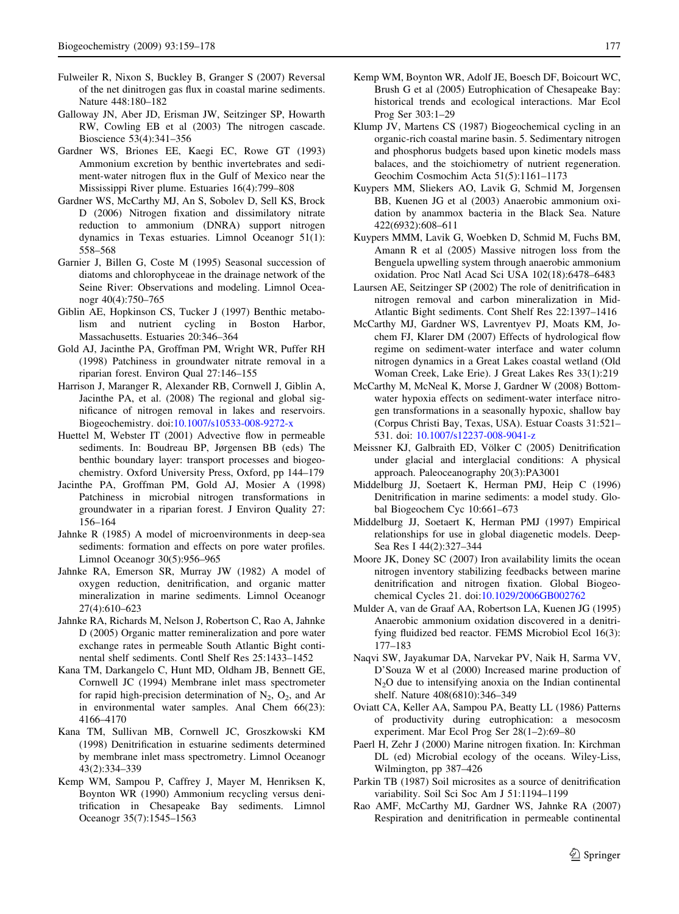- <span id="page-18-0"></span>Fulweiler R, Nixon S, Buckley B, Granger S (2007) Reversal of the net dinitrogen gas flux in coastal marine sediments. Nature 448:180–182
- Galloway JN, Aber JD, Erisman JW, Seitzinger SP, Howarth RW, Cowling EB et al (2003) The nitrogen cascade. Bioscience 53(4):341–356
- Gardner WS, Briones EE, Kaegi EC, Rowe GT (1993) Ammonium excretion by benthic invertebrates and sediment-water nitrogen flux in the Gulf of Mexico near the Mississippi River plume. Estuaries 16(4):799–808
- Gardner WS, McCarthy MJ, An S, Sobolev D, Sell KS, Brock D (2006) Nitrogen fixation and dissimilatory nitrate reduction to ammonium (DNRA) support nitrogen dynamics in Texas estuaries. Limnol Oceanogr 51(1): 558–568
- Garnier J, Billen G, Coste M (1995) Seasonal succession of diatoms and chlorophyceae in the drainage network of the Seine River: Observations and modeling. Limnol Oceanogr 40(4):750–765
- Giblin AE, Hopkinson CS, Tucker J (1997) Benthic metabolism and nutrient cycling in Boston Harbor, Massachusetts. Estuaries 20:346–364
- Gold AJ, Jacinthe PA, Groffman PM, Wright WR, Puffer RH (1998) Patchiness in groundwater nitrate removal in a riparian forest. Environ Qual 27:146–155
- Harrison J, Maranger R, Alexander RB, Cornwell J, Giblin A, Jacinthe PA, et al. (2008) The regional and global significance of nitrogen removal in lakes and reservoirs. Biogeochemistry. doi:[10.1007/s10533-008-9272-x](http://dx.doi.org/10.1007/s10533-008-9272-x)
- Huettel M, Webster IT (2001) Advective flow in permeable sediments. In: Boudreau BP, Jørgensen BB (eds) The benthic boundary layer: transport processes and biogeochemistry. Oxford University Press, Oxford, pp 144–179
- Jacinthe PA, Groffman PM, Gold AJ, Mosier A (1998) Patchiness in microbial nitrogen transformations in groundwater in a riparian forest. J Environ Quality 27: 156–164
- Jahnke R (1985) A model of microenvironments in deep-sea sediments: formation and effects on pore water profiles. Limnol Oceanogr 30(5):956–965
- Jahnke RA, Emerson SR, Murray JW (1982) A model of oxygen reduction, denitrification, and organic matter mineralization in marine sediments. Limnol Oceanogr 27(4):610–623
- Jahnke RA, Richards M, Nelson J, Robertson C, Rao A, Jahnke D (2005) Organic matter remineralization and pore water exchange rates in permeable South Atlantic Bight continental shelf sediments. Contl Shelf Res 25:1433–1452
- Kana TM, Darkangelo C, Hunt MD, Oldham JB, Bennett GE, Cornwell JC (1994) Membrane inlet mass spectrometer for rapid high-precision determination of  $N_2$ ,  $O_2$ , and Ar in environmental water samples. Anal Chem 66(23): 4166–4170
- Kana TM, Sullivan MB, Cornwell JC, Groszkowski KM (1998) Denitrification in estuarine sediments determined by membrane inlet mass spectrometry. Limnol Oceanogr 43(2):334–339
- Kemp WM, Sampou P, Caffrey J, Mayer M, Henriksen K, Boynton WR (1990) Ammonium recycling versus denitrification in Chesapeake Bay sediments. Limnol Oceanogr 35(7):1545–1563
- Kemp WM, Boynton WR, Adolf JE, Boesch DF, Boicourt WC, Brush G et al (2005) Eutrophication of Chesapeake Bay: historical trends and ecological interactions. Mar Ecol Prog Ser 303:1–29
- Klump JV, Martens CS (1987) Biogeochemical cycling in an organic-rich coastal marine basin. 5. Sedimentary nitrogen and phosphorus budgets based upon kinetic models mass balaces, and the stoichiometry of nutrient regeneration. Geochim Cosmochim Acta 51(5):1161–1173
- Kuypers MM, Sliekers AO, Lavik G, Schmid M, Jorgensen BB, Kuenen JG et al (2003) Anaerobic ammonium oxidation by anammox bacteria in the Black Sea. Nature 422(6932):608–611
- Kuypers MMM, Lavik G, Woebken D, Schmid M, Fuchs BM, Amann R et al (2005) Massive nitrogen loss from the Benguela upwelling system through anaerobic ammonium oxidation. Proc Natl Acad Sci USA 102(18):6478–6483
- Laursen AE, Seitzinger SP (2002) The role of denitrification in nitrogen removal and carbon mineralization in Mid-Atlantic Bight sediments. Cont Shelf Res 22:1397–1416
- McCarthy MJ, Gardner WS, Lavrentyev PJ, Moats KM, Jochem FJ, Klarer DM (2007) Effects of hydrological flow regime on sediment-water interface and water column nitrogen dynamics in a Great Lakes coastal wetland (Old Woman Creek, Lake Erie). J Great Lakes Res 33(1):219
- McCarthy M, McNeal K, Morse J, Gardner W (2008) Bottomwater hypoxia effects on sediment-water interface nitrogen transformations in a seasonally hypoxic, shallow bay (Corpus Christi Bay, Texas, USA). Estuar Coasts 31:521– 531. doi: [10.1007/s12237-008-9041-z](http://dx.doi.org/10.1007/s12237-008-9041-z)
- Meissner KJ, Galbraith ED, Völker C (2005) Denitrification under glacial and interglacial conditions: A physical approach. Paleoceanography 20(3):PA3001
- Middelburg JJ, Soetaert K, Herman PMJ, Heip C (1996) Denitrification in marine sediments: a model study. Global Biogeochem Cyc 10:661–673
- Middelburg JJ, Soetaert K, Herman PMJ (1997) Empirical relationships for use in global diagenetic models. Deep-Sea Res I 44(2):327–344
- Moore JK, Doney SC (2007) Iron availability limits the ocean nitrogen inventory stabilizing feedbacks between marine denitrification and nitrogen fixation. Global Biogeochemical Cycles 21. doi[:10.1029/2006GB002762](http://dx.doi.org/10.1029/2006GB002762)
- Mulder A, van de Graaf AA, Robertson LA, Kuenen JG (1995) Anaerobic ammonium oxidation discovered in a denitrifying fluidized bed reactor. FEMS Microbiol Ecol 16(3): 177–183
- Naqvi SW, Jayakumar DA, Narvekar PV, Naik H, Sarma VV, D'Souza W et al (2000) Increased marine production of N2O due to intensifying anoxia on the Indian continental shelf. Nature 408(6810):346–349
- Oviatt CA, Keller AA, Sampou PA, Beatty LL (1986) Patterns of productivity during eutrophication: a mesocosm experiment. Mar Ecol Prog Ser 28(1–2):69–80
- Paerl H, Zehr J (2000) Marine nitrogen fixation. In: Kirchman DL (ed) Microbial ecology of the oceans. Wiley-Liss, Wilmington, pp 387–426
- Parkin TB (1987) Soil microsites as a source of denitrification variability. Soil Sci Soc Am J 51:1194–1199
- Rao AMF, McCarthy MJ, Gardner WS, Jahnke RA (2007) Respiration and denitrification in permeable continental